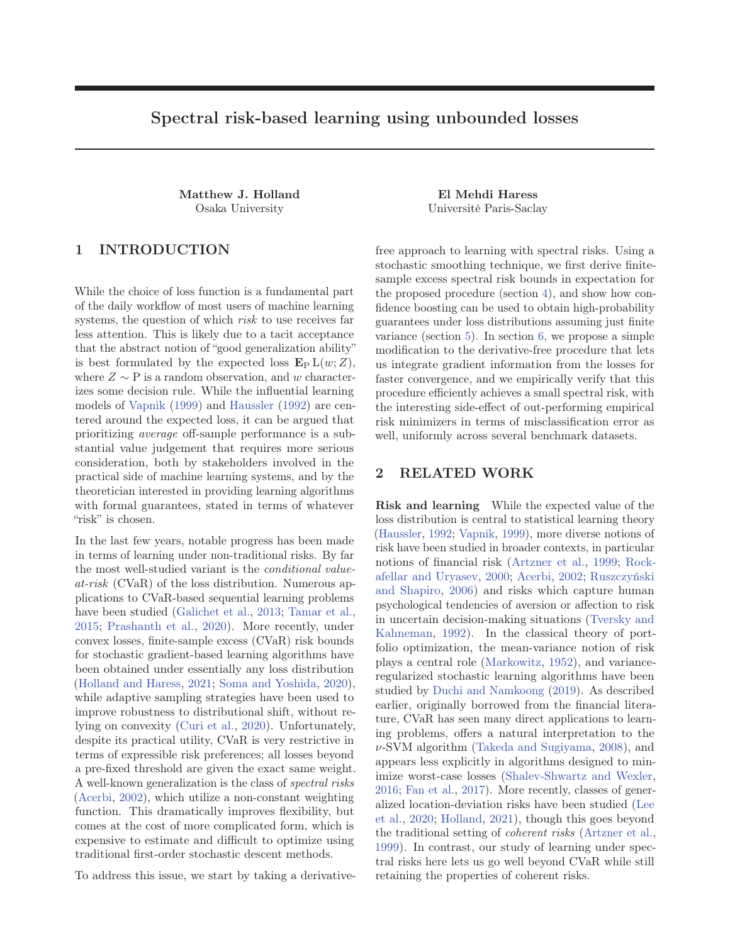# Spectral risk-based learning using unbounded losses

Matthew J. Holland El Mehdi Haress

# 1 INTRODUCTION

While the choice of loss function is a fundamental part of the daily workflow of most users of machine learning systems, the question of which *risk* to use receives far less attention. This is likely due to a tacit acceptance that the abstract notion of "good generalization ability" is best formulated by the expected loss  $\mathbf{E}_{\mathcal{P}} L(w;Z)$ , where  $Z \sim P$  is a random observation, and w characterizes some decision rule. While the influential learning models of Vapnik (1999) and Haussler (1992) are centered around the expected loss, it can be argued that prioritizing average off-sample performance is a substantial value judgement that requires more serious consideration, both by stakeholders involved in the practical side of machine learning systems, and by the theoretician interested in providing learning algorithms with formal guarantees, stated in terms of whatever "risk" is chosen.

In the last few years, notable progress has been made in terms of learning under non-traditional risks. By far the most well-studied variant is the *conditional value*at-risk (CVaR) of the loss distribution. Numerous applications to CVaR-based sequential learning problems have been studied (Galichet et al., 2013; Tamar et al., 2015; Prashanth et al., 2020). More recently, under convex losses, finite-sample excess (CVaR) risk bounds for stochastic gradient-based learning algorithms have been obtained under essentially any loss distribution (Holland and Haress, 2021; Soma and Yoshida, 2020), while adaptive sampling strategies have been used to improve robustness to distributional shift, without relying on convexity (Curi et al., 2020). Unfortunately, despite its practical utility, CVaR is very restrictive in terms of expressible risk preferences; all losses beyond a pre-fixed threshold are given the exact same weight. A well-known generalization is the class of spectral risks (Acerbi, 2002), which utilize a non-constant weighting function. This dramatically improves flexibility, but comes at the cost of more complicated form, which is expensive to estimate and difficult to optimize using traditional first-order stochastic descent methods.

To address this issue, we start by taking a derivative-

Osaka University Université Paris-Saclay

free approach to learning with spectral risks. Using a stochastic smoothing technique, we first derive finitesample excess spectral risk bounds in expectation for the proposed procedure (section 4), and show how confidence boosting can be used to obtain high-probability guarantees under loss distributions assuming just finite variance (section 5). In section 6, we propose a simple modification to the derivative-free procedure that lets us integrate gradient information from the losses for faster convergence, and we empirically verify that this procedure efficiently achieves a small spectral risk, with the interesting side-effect of out-performing empirical risk minimizers in terms of misclassification error as well, uniformly across several benchmark datasets.

## 2 RELATED WORK

Risk and learning While the expected value of the loss distribution is central to statistical learning theory (Haussler, 1992; Vapnik, 1999), more diverse notions of risk have been studied in broader contexts, in particular notions of financial risk (Artzner et al., 1999; Rockafellar and Uryasev, 2000; Acerbi, 2002; Ruszczyński and Shapiro, 2006) and risks which capture human psychological tendencies of aversion or affection to risk in uncertain decision-making situations (Tversky and Kahneman, 1992). In the classical theory of portfolio optimization, the mean-variance notion of risk plays a central role (Markowitz, 1952), and varianceregularized stochastic learning algorithms have been studied by Duchi and Namkoong (2019). As described earlier, originally borrowed from the financial literature, CVaR has seen many direct applications to learning problems, offers a natural interpretation to the ν-SVM algorithm (Takeda and Sugiyama, 2008), and appears less explicitly in algorithms designed to minimize worst-case losses (Shalev-Shwartz and Wexler, 2016; Fan et al., 2017). More recently, classes of generalized location-deviation risks have been studied (Lee et al., 2020; Holland, 2021), though this goes beyond the traditional setting of coherent risks (Artzner et al., 1999). In contrast, our study of learning under spectral risks here lets us go well beyond CVaR while still retaining the properties of coherent risks.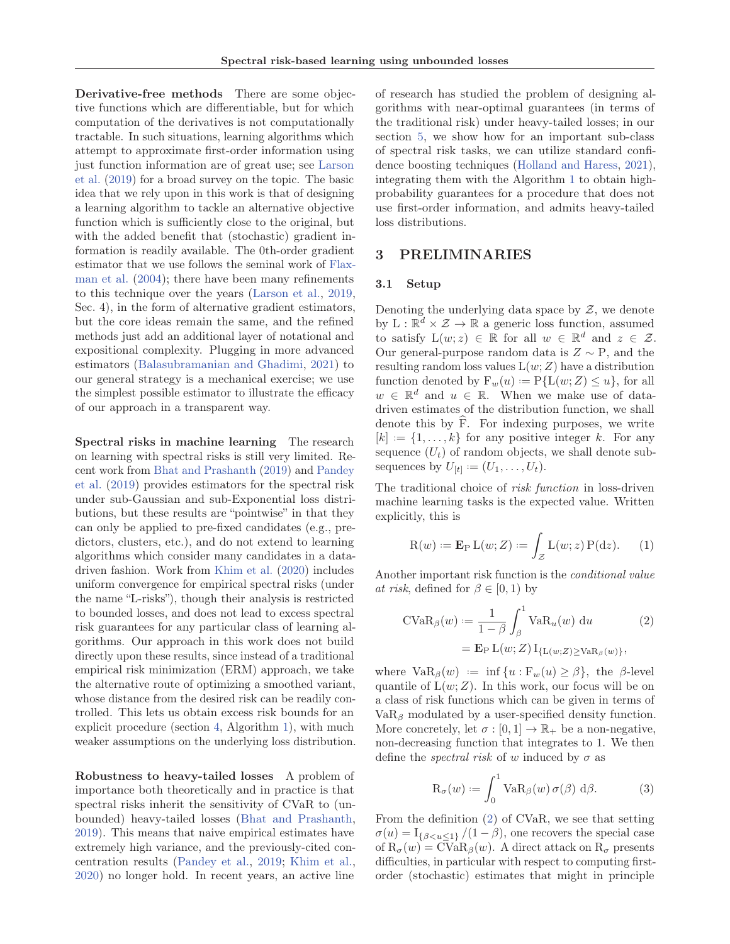Derivative-free methods There are some objective functions which are differentiable, but for which computation of the derivatives is not computationally tractable. In such situations, learning algorithms which attempt to approximate first-order information using just function information are of great use; see Larson et al. (2019) for a broad survey on the topic. The basic idea that we rely upon in this work is that of designing a learning algorithm to tackle an alternative objective function which is sufficiently close to the original, but with the added benefit that (stochastic) gradient information is readily available. The 0th-order gradient estimator that we use follows the seminal work of Flaxman et al. (2004); there have been many refinements to this technique over the years (Larson et al., 2019, Sec. 4), in the form of alternative gradient estimators, but the core ideas remain the same, and the refined methods just add an additional layer of notational and expositional complexity. Plugging in more advanced estimators (Balasubramanian and Ghadimi, 2021) to our general strategy is a mechanical exercise; we use the simplest possible estimator to illustrate the efficacy of our approach in a transparent way.

Spectral risks in machine learning The research on learning with spectral risks is still very limited. Recent work from Bhat and Prashanth (2019) and Pandey et al. (2019) provides estimators for the spectral risk under sub-Gaussian and sub-Exponential loss distributions, but these results are "pointwise" in that they can only be applied to pre-fixed candidates (e.g., predictors, clusters, etc.), and do not extend to learning algorithms which consider many candidates in a datadriven fashion. Work from Khim et al. (2020) includes uniform convergence for empirical spectral risks (under the name "L-risks"), though their analysis is restricted to bounded losses, and does not lead to excess spectral risk guarantees for any particular class of learning algorithms. Our approach in this work does not build directly upon these results, since instead of a traditional empirical risk minimization (ERM) approach, we take the alternative route of optimizing a smoothed variant, whose distance from the desired risk can be readily controlled. This lets us obtain excess risk bounds for an explicit procedure (section 4, Algorithm 1), with much weaker assumptions on the underlying loss distribution.

Robustness to heavy-tailed losses A problem of importance both theoretically and in practice is that spectral risks inherit the sensitivity of CVaR to (unbounded) heavy-tailed losses (Bhat and Prashanth, 2019). This means that naive empirical estimates have extremely high variance, and the previously-cited concentration results (Pandey et al., 2019; Khim et al., 2020) no longer hold. In recent years, an active line

of research has studied the problem of designing algorithms with near-optimal guarantees (in terms of the traditional risk) under heavy-tailed losses; in our section 5, we show how for an important sub-class of spectral risk tasks, we can utilize standard confidence boosting techniques (Holland and Haress, 2021), integrating them with the Algorithm 1 to obtain highprobability guarantees for a procedure that does not use first-order information, and admits heavy-tailed loss distributions.

### 3 PRELIMINARIES

#### 3.1 Setup

Denoting the underlying data space by  $Z$ , we denote by  $L : \mathbb{R}^d \times \mathcal{Z} \to \mathbb{R}$  a generic loss function, assumed to satisfy  $L(w; z) \in \mathbb{R}$  for all  $w \in \mathbb{R}^d$  and  $z \in \mathcal{Z}$ . Our general-purpose random data is  $Z \sim P$ , and the resulting random loss values  $L(w;Z)$  have a distribution function denoted by  $F_w(u) := P\{L(w; Z) \leq u\}$ , for all  $w \in \mathbb{R}^d$  and  $u \in \mathbb{R}$ . When we make use of datadriven estimates of the distribution function, we shall denote this by F. For indexing purposes, we write  $[k] := \{1, \ldots, k\}$  for any positive integer k. For any sequence  $(U_t)$  of random objects, we shall denote subsequences by  $U_{[t]} := (U_1, \ldots, U_t)$ .

The traditional choice of risk function in loss-driven machine learning tasks is the expected value. Written explicitly, this is

$$
R(w) := \mathbf{E}_{P} L(w; Z) := \int_{Z} L(w; z) P(dz). \qquad (1)
$$

Another important risk function is the conditional value *at risk*, defined for  $\beta \in [0, 1)$  by

$$
\text{CVaR}_{\beta}(w) := \frac{1}{1-\beta} \int_{\beta}^{1} \text{VaR}_{u}(w) \, \mathrm{d}u \tag{2}
$$
\n
$$
= \mathbf{E}_{\text{P}} \, \mathrm{L}(w; Z) \, \mathrm{I}_{\{\mathrm{L}(w; Z) \ge \text{VaR}_{\beta}(w)\}},
$$

where  $\text{VaR}_{\beta}(w) := \inf \{u : \mathbf{F}_w(u) \geq \beta\}$ , the  $\beta$ -level quantile of  $L(w;Z)$ . In this work, our focus will be on a class of risk functions which can be given in terms of  $VaR<sub>β</sub>$  modulated by a user-specified density function. More concretely, let  $\sigma : [0,1] \to \mathbb{R}_+$  be a non-negative, non-decreasing function that integrates to 1. We then define the *spectral risk* of w induced by  $\sigma$  as

$$
R_{\sigma}(w) := \int_0^1 V a R_{\beta}(w) \,\sigma(\beta) \, d\beta. \tag{3}
$$

From the definition (2) of CVaR, we see that setting  $\sigma(u) = I_{\{\beta < u \leq 1\}}/(1-\beta)$ , one recovers the special case of  $R_{\sigma}(w) = \text{CVaR}_{\beta}(w)$ . A direct attack on  $R_{\sigma}$  presents difficulties, in particular with respect to computing firstorder (stochastic) estimates that might in principle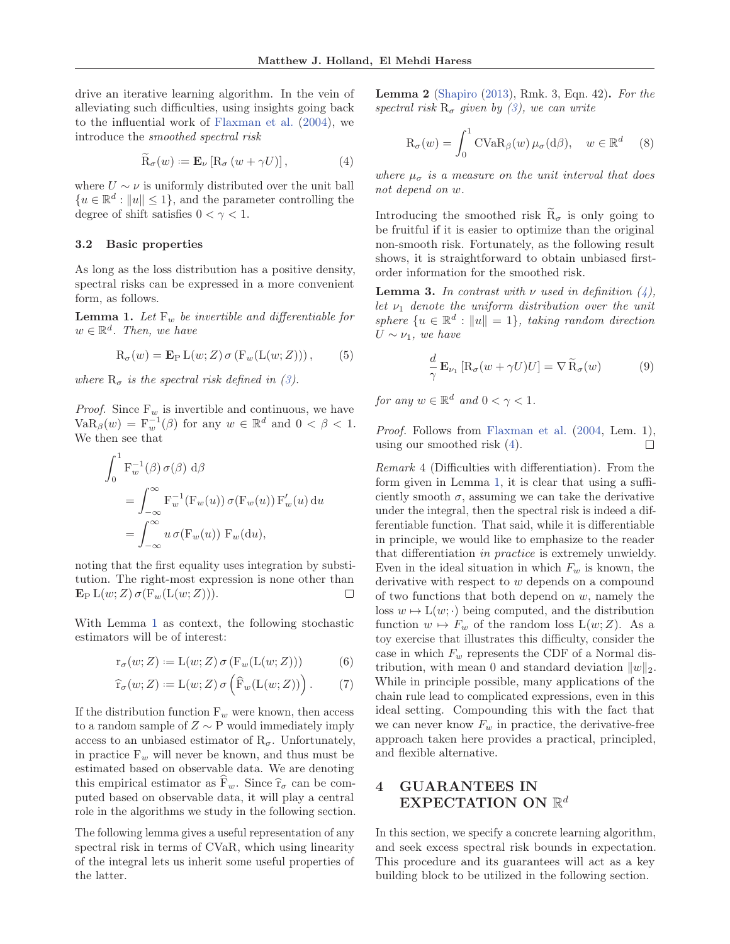drive an iterative learning algorithm. In the vein of alleviating such difficulties, using insights going back to the influential work of Flaxman et al. (2004), we introduce the smoothed spectral risk

$$
\widetilde{\mathcal{R}}_{\sigma}(w) := \mathbf{E}_{\nu} \left[ \mathcal{R}_{\sigma} \left( w + \gamma U \right) \right],\tag{4}
$$

where  $U \sim \nu$  is uniformly distributed over the unit ball  ${u \in \mathbb{R}^d : ||u|| \leq 1}$ , and the parameter controlling the degree of shift satisfies  $0 < \gamma < 1$ .

### 3.2 Basic properties

As long as the loss distribution has a positive density, spectral risks can be expressed in a more convenient form, as follows.

**Lemma 1.** Let  $F_w$  be invertible and differentiable for  $w \in \mathbb{R}^d$ . Then, we have

$$
R_{\sigma}(w) = \mathbf{E}_{P} L(w; Z) \sigma (F_{w}(L(w; Z))), \qquad (5)
$$

where  $R_{\sigma}$  is the spectral risk defined in (3).

*Proof.* Since  $F_w$  is invertible and continuous, we have  $\text{VaR}_{\beta}(w) = \mathbf{F}_{w}^{-1}(\beta)$  for any  $w \in \mathbb{R}^{d}$  and  $0 < \beta < 1$ . We then see that

$$
\int_0^1 \mathbf{F}_w^{-1}(\beta) \,\sigma(\beta) \,d\beta
$$
  
= 
$$
\int_{-\infty}^{\infty} \mathbf{F}_w^{-1}(\mathbf{F}_w(u)) \,\sigma(\mathbf{F}_w(u)) \,\mathbf{F}_w'(u) \,du
$$
  
= 
$$
\int_{-\infty}^{\infty} u \,\sigma(\mathbf{F}_w(u)) \,\mathbf{F}_w(\mathrm{d}u),
$$

noting that the first equality uses integration by substitution. The right-most expression is none other than  $\mathbf{E}_{\mathrm{P}} \mathrm{L}(w;Z) \sigma(\mathrm{F}_{w}(\mathrm{L}(w;Z))).$  $\Box$ 

With Lemma 1 as context, the following stochastic estimators will be of interest:

$$
\mathbf{r}_{\sigma}(w;Z) := \mathcal{L}(w;Z)\,\sigma\left(\mathcal{F}_{w}(\mathcal{L}(w;Z))\right) \tag{6}
$$

$$
\widehat{\mathbf{r}}_{\sigma}(w;Z) := \mathcal{L}(w;Z) \,\sigma\left(\widehat{\mathbf{F}}_w(\mathcal{L}(w;Z))\right). \tag{7}
$$

If the distribution function  $F_w$  were known, then access to a random sample of  $Z \sim P$  would immediately imply access to an unbiased estimator of  $R_{\sigma}$ . Unfortunately, in practice  $F_w$  will never be known, and thus must be estimated based on observable data. We are denoting this empirical estimator as  $F_w$ . Since  $\hat{r}_{\sigma}$  can be com-<br>with heard on channels data it will also a sented puted based on observable data, it will play a central role in the algorithms we study in the following section.

The following lemma gives a useful representation of any spectral risk in terms of CVaR, which using linearity of the integral lets us inherit some useful properties of the latter.

Lemma 2 (Shapiro (2013), Rmk. 3, Eqn. 42). For the spectral risk  $R_{\sigma}$  given by (3), we can write

$$
R_{\sigma}(w) = \int_0^1 \text{CVaR}_{\beta}(w) \,\mu_{\sigma}(d\beta), \quad w \in \mathbb{R}^d \quad (8)
$$

where  $\mu_{\sigma}$  is a measure on the unit interval that does not depend on w.

Introducing the smoothed risk  $\tilde{R}_{\sigma}$  is only going to be fruitful if it is easier to optimize than the original non-smooth risk. Fortunately, as the following result shows, it is straightforward to obtain unbiased firstorder information for the smoothed risk.

**Lemma 3.** In contrast with  $\nu$  used in definition  $(4)$ , let  $\nu_1$  denote the uniform distribution over the unit sphere  $\{u \in \mathbb{R}^d : ||u|| = 1\}$ , taking random direction  $U \sim \nu_1$ , we have

$$
\frac{d}{\gamma} \mathbf{E}_{\nu_1} \left[ \mathbf{R}_{\sigma} (w + \gamma U) U \right] = \nabla \widetilde{\mathbf{R}}_{\sigma} (w) \tag{9}
$$

for any  $w \in \mathbb{R}^d$  and  $0 < \gamma < 1$ .

Proof. Follows from Flaxman et al. (2004, Lem. 1), using our smoothed risk (4).  $\Box$ 

Remark 4 (Difficulties with differentiation). From the form given in Lemma 1, it is clear that using a sufficiently smooth  $\sigma$ , assuming we can take the derivative under the integral, then the spectral risk is indeed a differentiable function. That said, while it is differentiable in principle, we would like to emphasize to the reader that differentiation in practice is extremely unwieldy. Even in the ideal situation in which  $F_w$  is known, the derivative with respect to w depends on a compound of two functions that both depend on  $w$ , namely the loss  $w \mapsto L(w; \cdot)$  being computed, and the distribution function  $w \mapsto F_w$  of the random loss  $L(w; Z)$ . As a toy exercise that illustrates this difficulty, consider the case in which  $F_w$  represents the CDF of a Normal distribution, with mean 0 and standard deviation  $||w||_2$ . While in principle possible, many applications of the chain rule lead to complicated expressions, even in this ideal setting. Compounding this with the fact that we can never know  $F_w$  in practice, the derivative-free approach taken here provides a practical, principled, and flexible alternative.

# 4 GUARANTEES IN EXPECTATION ON  $\mathbb{R}^d$

In this section, we specify a concrete learning algorithm, and seek excess spectral risk bounds in expectation. This procedure and its guarantees will act as a key building block to be utilized in the following section.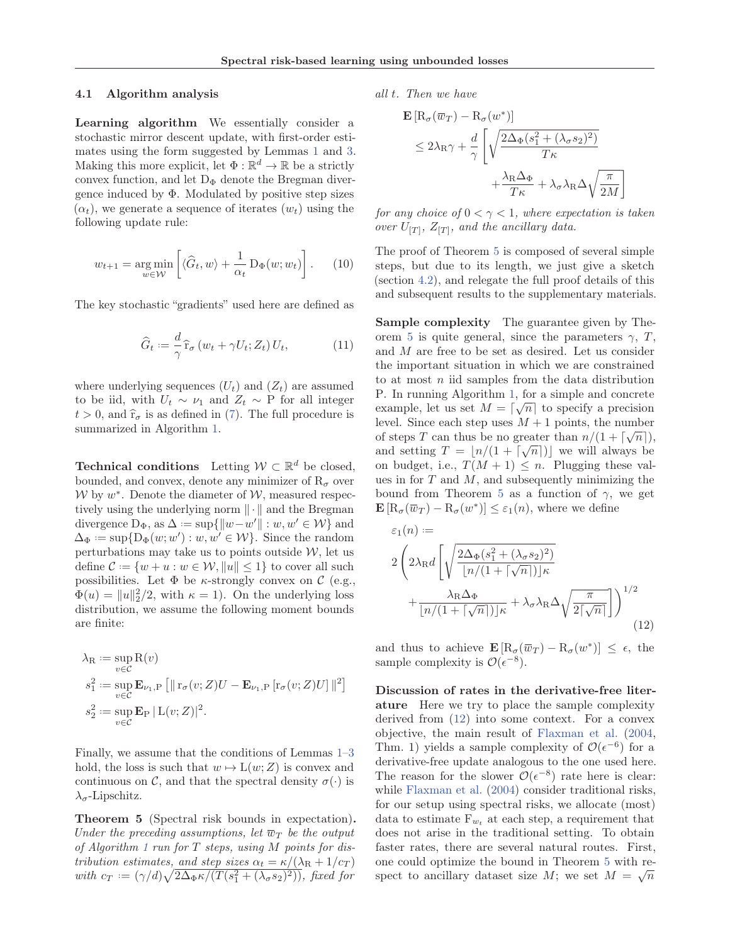### 4.1 Algorithm analysis

Learning algorithm We essentially consider a stochastic mirror descent update, with first-order estimates using the form suggested by Lemmas 1 and 3. Making this more explicit, let  $\Phi : \mathbb{R}^d \to \mathbb{R}$  be a strictly convex function, and let  $D_{\Phi}$  denote the Bregman divergence induced by  $\Phi$ . Modulated by positive step sizes  $(\alpha_t)$ , we generate a sequence of iterates  $(w_t)$  using the following update rule:

$$
w_{t+1} = \underset{w \in \mathcal{W}}{\arg \min} \left[ \langle \widehat{G}_t, w \rangle + \frac{1}{\alpha_t} \, \mathcal{D}_{\Phi}(w; w_t) \right]. \tag{10}
$$

The key stochastic "gradients" used here are defined as

$$
\widehat{G}_t := \frac{d}{\gamma} \widehat{\mathbf{r}}_\sigma \left( w_t + \gamma U_t; Z_t \right) U_t,\tag{11}
$$

where underlying sequences  $(U_t)$  and  $(Z_t)$  are assumed to be iid, with  $U_t \sim \nu_1$  and  $Z_t \sim P$  for all integer  $t > 0$ , and  $\hat{r}_{\sigma}$  is as defined in (7). The full procedure is summarized in Algorithm 1.

**Technical conditions** Letting  $W \subset \mathbb{R}^d$  be closed, bounded, and convex, denote any minimizer of  $R_{\sigma}$  over  $W$  by  $w^*$ . Denote the diameter of  $W$ , measured respectively using the underlying norm  $\|\cdot\|$  and the Bregman divergence  $D_{\Phi}$ , as  $\Delta := \sup\{||w - w'|| : w, w' \in \mathcal{W}\}\$ and  $\Delta_{\Phi} := \sup \{ \mathcal{D}_{\Phi}(w; w') : w, w' \in \mathcal{W} \}.$  Since the random perturbations may take us to points outside  $W$ , let us define  $\mathcal{C} := \{w + u : w \in \mathcal{W}, ||u|| \leq 1\}$  to cover all such possibilities. Let  $\Phi$  be *κ*-strongly convex on  $\mathcal C$  (e.g.,  $\Phi(u) = ||u||_2^2/2$ , with  $\kappa = 1$ ). On the underlying loss distribution, we assume the following moment bounds are finite:

$$
\lambda_{\mathcal{R}} := \sup_{v \in C} \mathcal{R}(v)
$$
  
\n
$$
s_1^2 := \sup_{v \in C} \mathbf{E}_{\nu_1, \mathcal{P}} [\|\mathbf{r}_{\sigma}(v; Z)U - \mathbf{E}_{\nu_1, \mathcal{P}} [\mathbf{r}_{\sigma}(v; Z)U] \|^{2}]
$$
  
\n
$$
s_2^2 := \sup_{v \in C} \mathbf{E}_{\mathcal{P}} |L(v; Z)|^{2}.
$$

Finally, we assume that the conditions of Lemmas 1–3 hold, the loss is such that  $w \mapsto L(w; Z)$  is convex and continuous on C, and that the spectral density  $\sigma(\cdot)$  is  $\lambda_{\sigma}$ -Lipschitz.

Theorem 5 (Spectral risk bounds in expectation). Under the preceding assumptions, let  $\overline{w}_T$  be the output of Algorithm 1 run for  $T$  steps, using  $M$  points for distribution estimates, and step sizes  $\alpha_t = \kappa/(\lambda_R + 1/c_T)$ with  $c_T = (\gamma/d)\sqrt{2\Delta_{\Phi}\kappa/(T(s_1^2 + (\lambda_{\sigma}s_2)^2))}$ , fixed for

all t. Then we have

$$
\mathbf{E} \left[ R_{\sigma}(\overline{w}_{T}) - R_{\sigma}(w^{*}) \right]
$$
  
\n
$$
\leq 2\lambda_{\mathrm{R}}\gamma + \frac{d}{\gamma} \left[ \sqrt{\frac{2\Delta_{\Phi}(s_{1}^{2} + (\lambda_{\sigma}s_{2})^{2})}{T\kappa}} + \frac{\lambda_{\mathrm{R}}\Delta_{\Phi}}{T\kappa} + \lambda_{\sigma}\lambda_{\mathrm{R}}\Delta\sqrt{\frac{\pi}{2M}} \right]
$$

T

for any choice of  $0 < \gamma < 1$ , where expectation is taken over  $U_{[T]}$ ,  $Z_{[T]}$ , and the ancillary data.

The proof of Theorem 5 is composed of several simple steps, but due to its length, we just give a sketch (section 4.2), and relegate the full proof details of this and subsequent results to the supplementary materials.

Sample complexity The guarantee given by Theorem 5 is quite general, since the parameters  $\gamma$ , T, and M are free to be set as desired. Let us consider the important situation in which we are constrained to at most  $n$  iid samples from the data distribution P. In running Algorithm 1, for a simple and concrete example, let us set  $M = \lceil \sqrt{n} \rceil$  to specify a precision level. Since each step uses  $M + 1$  points, the number of steps T can thus be no greater than  $n/(1 + \lceil \sqrt{n} \rceil)$ , and setting  $T = \lfloor n/(1 + \lceil \sqrt{n} \rceil) \rfloor$  we will always be on budget, i.e.,  $T(M + 1) \leq n$ . Plugging these values in for  $T$  and  $M$ , and subsequently minimizing the bound from Theorem 5 as a function of  $\gamma$ , we get  $\mathbf{E}[R_{\sigma}(\overline{w}_T) - R_{\sigma}(w^*)] \leq \varepsilon_1(n)$ , where we define

$$
\varepsilon_{1}(n) :=
$$
\n
$$
2\left(2\lambda_{\mathrm{R}}d\left[\sqrt{\frac{2\Delta_{\Phi}(s_{1}^{2}+(\lambda_{\sigma}s_{2})^{2})}{[n/(1+[\sqrt{n}])]}\kappa}+\frac{\lambda_{\mathrm{R}}\Delta_{\Phi}}{[n/(1+[\sqrt{n}])]}\kappa}+\lambda_{\sigma}\lambda_{\mathrm{R}}\Delta\sqrt{\frac{\pi}{2[\sqrt{n}]}}\right]\right)^{1/2}
$$
\n(12)

and thus to achieve  $\mathbf{E} [R_{\sigma}(\overline{w}_T) - R_{\sigma}(w^*)] \leq \epsilon$ , the sample complexity is  $\mathcal{O}(\epsilon^{-8})$ .

Discussion of rates in the derivative-free literature Here we try to place the sample complexity derived from (12) into some context. For a convex objective, the main result of Flaxman et al. (2004, Thm. 1) yields a sample complexity of  $\mathcal{O}(\epsilon^{-6})$  for a derivative-free update analogous to the one used here. The reason for the slower  $\mathcal{O}(\epsilon^{-8})$  rate here is clear: while Flaxman et al. (2004) consider traditional risks, for our setup using spectral risks, we allocate (most) data to estimate  $F_{w_t}$  at each step, a requirement that does not arise in the traditional setting. To obtain faster rates, there are several natural routes. First, one could optimize the bound in Theorem 5 with respect to ancillary dataset size M; we set  $M = \sqrt{n}$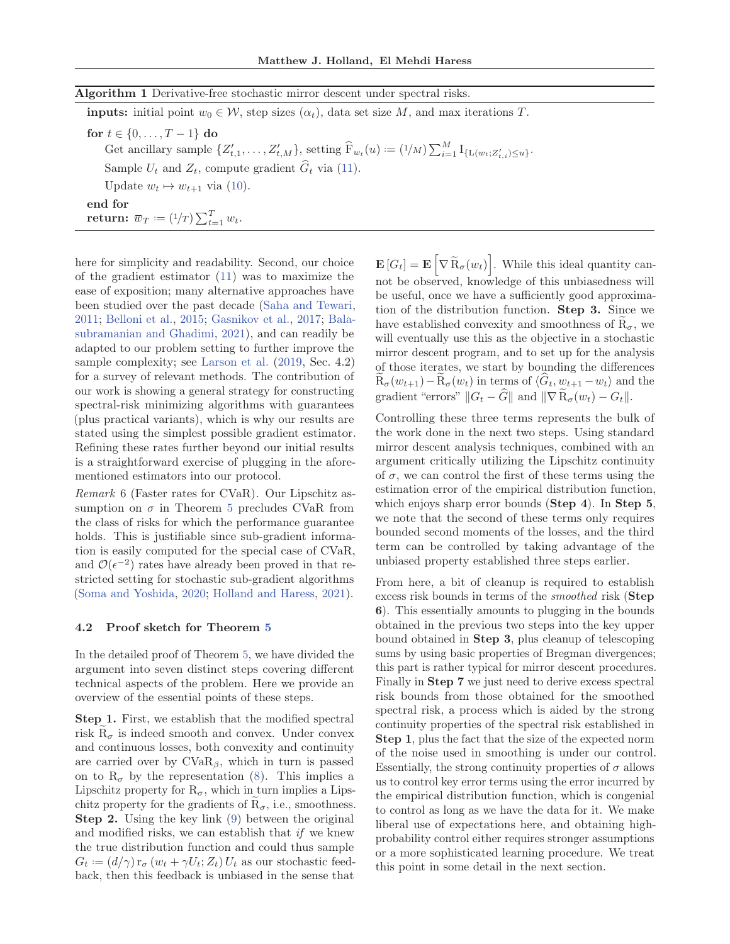### Algorithm 1 Derivative-free stochastic mirror descent under spectral risks.

**inputs:** initial point  $w_0 \in \mathcal{W}$ , step sizes  $(\alpha_t)$ , data set size M, and max iterations T. for  $t \in \{0, ..., T-1\}$  do Get ancillary sample  $\{Z'_{t,1},\ldots,Z'_{t,M}\}$ , setting  $\widehat{F}_{w_t}(u) := (1/M) \sum_{i=1}^M I_{\{L(w_t;Z'_{t,i}) \leq u\}}$ . Sample  $U_t$  and  $Z_t$ , compute gradient  $\widehat{G}_t$  via (11). Update  $w_t \mapsto w_{t+1}$  via (10). end for

return:  $\overline{w}_T := \left(\frac{1}{T}\right) \sum_{t=1}^T w_t.$ 

here for simplicity and readability. Second, our choice of the gradient estimator (11) was to maximize the ease of exposition; many alternative approaches have been studied over the past decade (Saha and Tewari, 2011; Belloni et al., 2015; Gasnikov et al., 2017; Balasubramanian and Ghadimi, 2021), and can readily be adapted to our problem setting to further improve the sample complexity; see Larson et al. (2019, Sec. 4.2) for a survey of relevant methods. The contribution of our work is showing a general strategy for constructing spectral-risk minimizing algorithms with guarantees (plus practical variants), which is why our results are stated using the simplest possible gradient estimator. Refining these rates further beyond our initial results is a straightforward exercise of plugging in the aforementioned estimators into our protocol.

Remark 6 (Faster rates for CVaR). Our Lipschitz assumption on  $\sigma$  in Theorem 5 precludes CVaR from the class of risks for which the performance guarantee holds. This is justifiable since sub-gradient information is easily computed for the special case of CVaR, and  $\mathcal{O}(\epsilon^{-2})$  rates have already been proved in that restricted setting for stochastic sub-gradient algorithms (Soma and Yoshida, 2020; Holland and Haress, 2021).

### 4.2 Proof sketch for Theorem 5

In the detailed proof of Theorem 5, we have divided the argument into seven distinct steps covering different technical aspects of the problem. Here we provide an overview of the essential points of these steps.

Step 1. First, we establish that the modified spectral risk  $R_{\sigma}$  is indeed smooth and convex. Under convex and continuous losses, both convexity and continuity are carried over by  $CVaR_\beta$ , which in turn is passed on to  $R_{\sigma}$  by the representation (8). This implies a Lipschitz property for  $R_{\sigma}$ , which in turn implies a Lipschitz property for the gradients of  $R_{\sigma}$ , i.e., smoothness. Step 2. Using the key link (9) between the original and modified risks, we can establish that  $if$  we knew the true distribution function and could thus sample  $G_t := (d/\gamma) r_{\sigma} (w_t + \gamma U_t; Z_t) U_t$  as our stochastic feedback, then this feedback is unbiased in the sense that

 $\mathbf{E}[G_t] = \mathbf{E} \left[ \nabla \widetilde{\mathbf{R}}_{\sigma}(w_t) \right]$ . While this ideal quantity cannot be observed, knowledge of this unbiasedness will be useful, once we have a sufficiently good approximation of the distribution function. Step 3. Since we have established convexity and smoothness of  $R_{\sigma}$ , we will eventually use this as the objective in a stochastic mirror descent program, and to set up for the analysis of those iterates, we start by bounding the differences  $\widetilde{\mathbf{R}}_{\sigma}(w_{t+1}) - \widetilde{\mathbf{R}}_{\sigma}(w_t)$  in terms of  $\langle \widehat{G}_t, w_{t+1} - w_t \rangle$  and the gradient "errors"  $||G_t - \hat{G}||$  and  $||\nabla \tilde{R}_{\sigma}(w_t) - G_t||$ .

Controlling these three terms represents the bulk of the work done in the next two steps. Using standard mirror descent analysis techniques, combined with an argument critically utilizing the Lipschitz continuity of  $\sigma$ , we can control the first of these terms using the estimation error of the empirical distribution function, which enjoys sharp error bounds (Step 4). In Step 5, we note that the second of these terms only requires bounded second moments of the losses, and the third term can be controlled by taking advantage of the unbiased property established three steps earlier.

From here, a bit of cleanup is required to establish excess risk bounds in terms of the smoothed risk (Step 6). This essentially amounts to plugging in the bounds obtained in the previous two steps into the key upper bound obtained in Step 3, plus cleanup of telescoping sums by using basic properties of Bregman divergences; this part is rather typical for mirror descent procedures. Finally in Step 7 we just need to derive excess spectral risk bounds from those obtained for the smoothed spectral risk, a process which is aided by the strong continuity properties of the spectral risk established in Step 1, plus the fact that the size of the expected norm of the noise used in smoothing is under our control. Essentially, the strong continuity properties of  $\sigma$  allows us to control key error terms using the error incurred by the empirical distribution function, which is congenial to control as long as we have the data for it. We make liberal use of expectations here, and obtaining highprobability control either requires stronger assumptions or a more sophisticated learning procedure. We treat this point in some detail in the next section.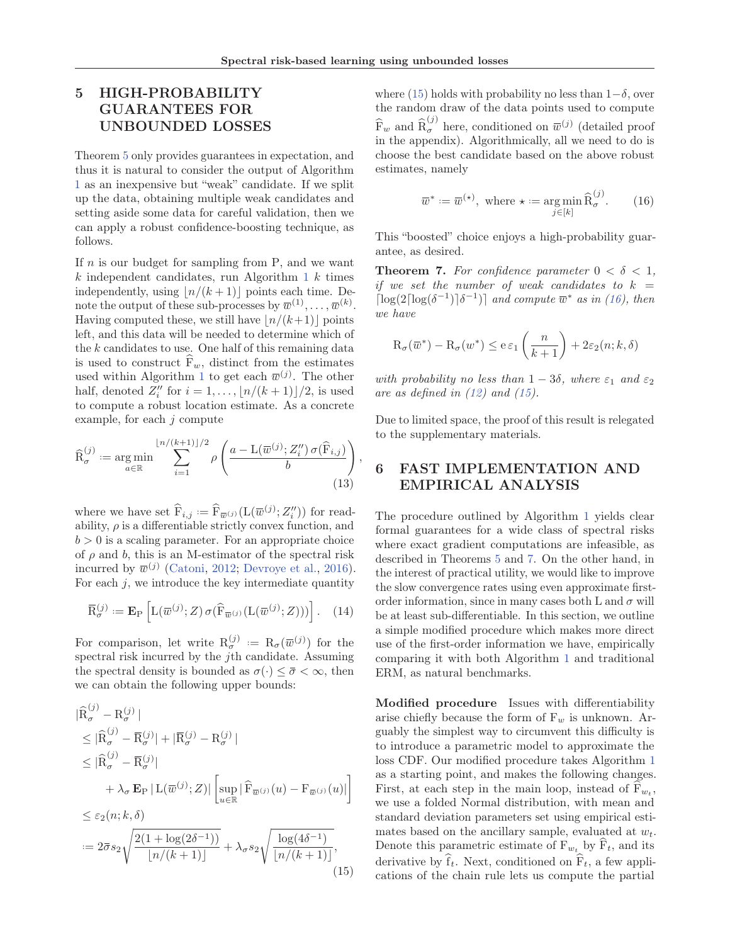,

# 5 HIGH-PROBABILITY GUARANTEES FOR UNBOUNDED LOSSES

Theorem 5 only provides guarantees in expectation, and thus it is natural to consider the output of Algorithm 1 as an inexpensive but "weak" candidate. If we split up the data, obtaining multiple weak candidates and setting aside some data for careful validation, then we can apply a robust confidence-boosting technique, as follows.

If  $n$  is our budget for sampling from P, and we want  $k$  independent candidates, run Algorithm 1  $k$  times independently, using  $\lfloor n/(k+1) \rfloor$  points each time. Denote the output of these sub-processes by  $\overline{w}^{(1)}, \ldots, \overline{w}^{(k)}$ . Having computed these, we still have  $n/(k+1)$  points left, and this data will be needed to determine which of the  $k$  candidates to use. One half of this remaining data is used to construct  $F_w$ , distinct from the estimates used within Algorithm 1 to get each  $\overline{w}^{(j)}$ . The other half, denoted  $Z_i''$  for  $i = 1, \ldots, \lfloor n/(k+1) \rfloor/2$ , is used to compute a robust location estimate. As a concrete example, for each  $j$  compute

$$
\widehat{\mathcal{R}}_{\sigma}^{(j)} := \underset{a \in \mathbb{R}}{\arg \min} \sum_{i=1}^{\lfloor n/(k+1) \rfloor/2} \rho \left( \frac{a - \mathcal{L}(\overline{w}^{(j)}; Z_i'') \sigma(\widehat{\mathcal{F}}_{i,j})}{b} \right)
$$
\n(13)

where we have set  $\widehat{F}_{i,j} := \widehat{F}_{\overline{w}^{(j)}}(L(\overline{w}^{(j)}; Z''_i))$  for readability,  $\rho$  is a differentiable strictly convex function, and  $b > 0$  is a scaling parameter. For an appropriate choice of  $\rho$  and  $b$ , this is an M-estimator of the spectral risk incurred by  $\bar{w}^{(j)}$  (Catoni, 2012; Devroye et al., 2016). For each  $j$ , we introduce the key intermediate quantity

$$
\overline{\mathrm{R}}_{\sigma}^{(j)} := \mathbf{E}_{\mathrm{P}}\left[L(\overline{w}^{(j)}; Z)\,\sigma(\widehat{\mathrm{F}}_{\overline{w}^{(j)}}(L(\overline{w}^{(j)}; Z)))\right].\tag{14}
$$

For comparison, let write  $R_{\sigma}^{(j)} := R_{\sigma}(\overline{w}^{(j)})$  for the spectral risk incurred by the jth candidate. Assuming the spectral density is bounded as  $\sigma(\cdot) \leq \bar{\sigma} \leq \infty$ , then we can obtain the following upper bounds:

$$
\begin{aligned}\n|\widehat{\mathbf{R}}_{\sigma}^{(j)} - \mathbf{R}_{\sigma}^{(j)}| \\
&\leq |\widehat{\mathbf{R}}_{\sigma}^{(j)} - \overline{\mathbf{R}}_{\sigma}^{(j)}| + |\overline{\mathbf{R}}_{\sigma}^{(j)} - \mathbf{R}_{\sigma}^{(j)}| \\
&\leq |\widehat{\mathbf{R}}_{\sigma}^{(j)} - \overline{\mathbf{R}}_{\sigma}^{(j)}| \\
&+ \lambda_{\sigma} \mathbf{E}_{\mathbf{P}} | \mathbf{L}(\overline{w}^{(j)}; Z)| \left[ \sup_{u \in \mathbb{R}} |\widehat{\mathbf{F}}_{\overline{w}^{(j)}}(u) - \mathbf{F}_{\overline{w}^{(j)}}(u)| \right] \\
&\leq \varepsilon_2(n; k, \delta) \\
&:= 2\overline{\sigma} s_2 \sqrt{\frac{2(1 + \log(2\delta^{-1}))}{\ln l(n+1) + 1}} + \lambda_{\sigma} s_2 \sqrt{\frac{\log(4\delta^{-1})}{\ln l(n+1) + 1}},\n\end{aligned}
$$

$$
:= 2\bar{\sigma}s_2\sqrt{\frac{2(1+\log(2\delta^{-1}))}{\lfloor n/(k+1)\rfloor}} + \lambda_{\sigma}s_2\sqrt{\frac{\log(4\delta^{-1})}{\lfloor n/(k+1)\rfloor}},
$$
(15)

where (15) holds with probability no less than  $1-\delta$ , over the random draw of the data points used to compute  $\widehat{\mathbf{F}}_w$  and  $\widehat{\mathbf{R}}_{\sigma}^{(j)}$  here, conditioned on  $\overline{w}^{(j)}$  (detailed proof in the appendix). Algorithmically, all we need to do is choose the best candidate based on the above robust estimates, namely

$$
\overline{w}^* := \overline{w}^{(\star)}, \text{ where } \star := \underset{j \in [k]}{\text{arg min}} \widehat{R}_{\sigma}^{(j)}.
$$
 (16)

This "boosted" choice enjoys a high-probability guarantee, as desired.

**Theorem 7.** For confidence parameter  $0 < \delta < 1$ , if we set the number of weak candidates to  $k =$  $\lceil \log(2\lceil \log(\delta^{-1}) \rceil \delta^{-1}) \rceil$  and compute  $\overline{w}^*$  as in (16), then we have

$$
\mathrm{R}_{\sigma}(\overline{w}^*) - \mathrm{R}_{\sigma}(w^*) \le e \,\varepsilon_1\left(\frac{n}{k+1}\right) + 2\varepsilon_2(n;k,\delta)
$$

with probability no less than  $1 - 3\delta$ , where  $\varepsilon_1$  and  $\varepsilon_2$ are as defined in  $(12)$  and  $(15)$ .

Due to limited space, the proof of this result is relegated to the supplementary materials.

# 6 FAST IMPLEMENTATION AND EMPIRICAL ANALYSIS

The procedure outlined by Algorithm 1 yields clear formal guarantees for a wide class of spectral risks where exact gradient computations are infeasible, as described in Theorems 5 and 7. On the other hand, in the interest of practical utility, we would like to improve the slow convergence rates using even approximate firstorder information, since in many cases both L and  $\sigma$  will be at least sub-differentiable. In this section, we outline a simple modified procedure which makes more direct use of the first-order information we have, empirically comparing it with both Algorithm 1 and traditional ERM, as natural benchmarks.

Modified procedure Issues with differentiability arise chiefly because the form of  $F_w$  is unknown. Arguably the simplest way to circumvent this difficulty is to introduce a parametric model to approximate the loss CDF. Our modified procedure takes Algorithm 1 as a starting point, and makes the following changes. First, at each step in the main loop, instead of  $F_{w_t}$ , we use a folded Normal distribution, with mean and standard deviation parameters set using empirical estimates based on the ancillary sample, evaluated at  $w_t$ . Denote this parametric estimate of  $F_{w_t}$  by  $F_t$ , and its derivative by  $f_t$ . Next, conditioned on  $F_t$ , a few applications of the chain rule lets us compute the partial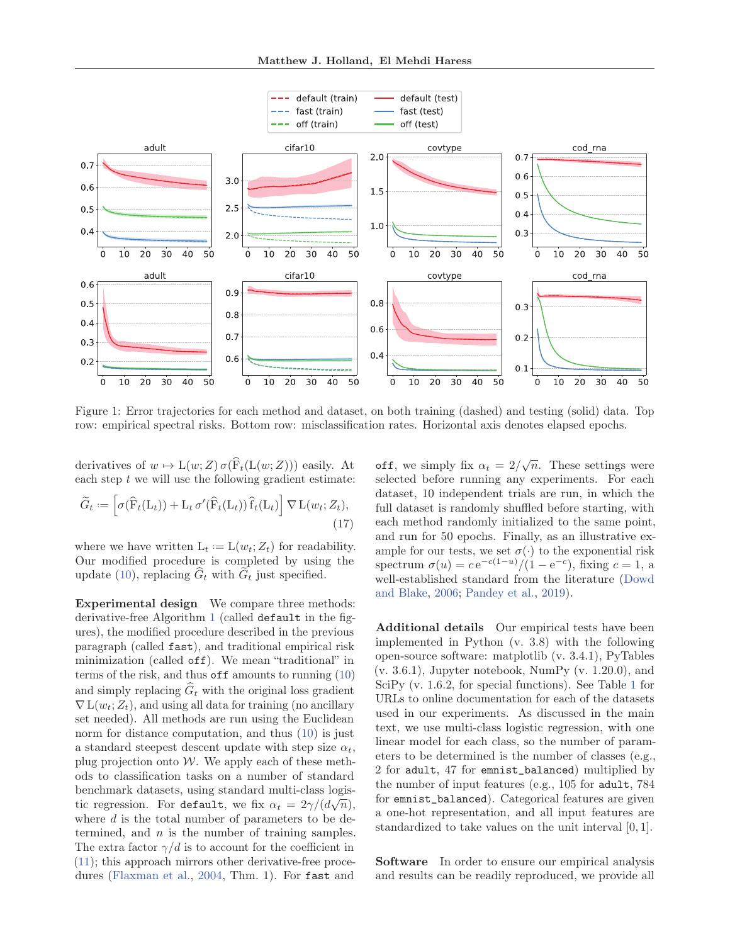

Figure 1: Error trajectories for each method and dataset, on both training (dashed) and testing (solid) data. Top row: empirical spectral risks. Bottom row: misclassification rates. Horizontal axis denotes elapsed epochs.

derivatives of  $w \mapsto L(w; Z) \sigma(\widehat{F}_t(L(w; Z)))$  easily. At each step  $t$  we will use the following gradient estimate:

$$
\widetilde{G}_t := \left[ \sigma(\widehat{\mathbf{F}}_t(\mathbf{L}_t)) + \mathbf{L}_t \, \sigma'(\widehat{\mathbf{F}}_t(\mathbf{L}_t)) \, \widehat{\mathbf{f}}_t(\mathbf{L}_t) \right] \nabla \, \mathbf{L}(w_t; Z_t),\tag{17}
$$

where we have written  $L_t := L(w_t; Z_t)$  for readability. Our modified procedure is completed by using the update (10), replacing  $\widehat{G}_t$  with  $\widetilde{G}_t$  just specified.

Experimental design We compare three methods: derivative-free Algorithm 1 (called default in the figures), the modified procedure described in the previous paragraph (called fast), and traditional empirical risk minimization (called off). We mean "traditional" in terms of the risk, and thus off amounts to running (10) and simply replacing  $\widehat{G}_t$  with the original loss gradient  $\nabla$  L( $w_t$ ;  $Z_t$ ), and using all data for training (no ancillary set needed). All methods are run using the Euclidean norm for distance computation, and thus (10) is just a standard steepest descent update with step size  $\alpha_t$ , plug projection onto  $W$ . We apply each of these methods to classification tasks on a number of standard benchmark datasets, using standard multi-class logistic regression. For default, we fix  $\alpha_t = 2\gamma/(d\sqrt{n})$ , where  $d$  is the total number of parameters to be determined, and  $n$  is the number of training samples. The extra factor  $\gamma/d$  is to account for the coefficient in (11); this approach mirrors other derivative-free procedures (Flaxman et al., 2004, Thm. 1). For fast and

off, we simply fix  $\alpha_t = 2/\sqrt{n}$ . These settings were selected before running any experiments. For each dataset, 10 independent trials are run, in which the full dataset is randomly shuffled before starting, with each method randomly initialized to the same point, and run for 50 epochs. Finally, as an illustrative example for our tests, we set  $\sigma(\cdot)$  to the exponential risk spectrum  $\sigma(u) = c e^{-c(1-u)}/(1-e^{-c})$ , fixing  $c = 1$ , a well-established standard from the literature (Dowd and Blake, 2006; Pandey et al., 2019).

Additional details Our empirical tests have been implemented in Python (v. 3.8) with the following open-source software: matplotlib (v. 3.4.1), PyTables  $(v. 3.6.1)$ , Jupyter notebook, NumPy  $(v. 1.20.0)$ , and SciPy (v. 1.6.2, for special functions). See Table 1 for URLs to online documentation for each of the datasets used in our experiments. As discussed in the main text, we use multi-class logistic regression, with one linear model for each class, so the number of parameters to be determined is the number of classes (e.g., 2 for adult, 47 for emnist\_balanced) multiplied by the number of input features (e.g., 105 for adult, 784 for emnist\_balanced). Categorical features are given a one-hot representation, and all input features are standardized to take values on the unit interval [0, 1].

Software In order to ensure our empirical analysis and results can be readily reproduced, we provide all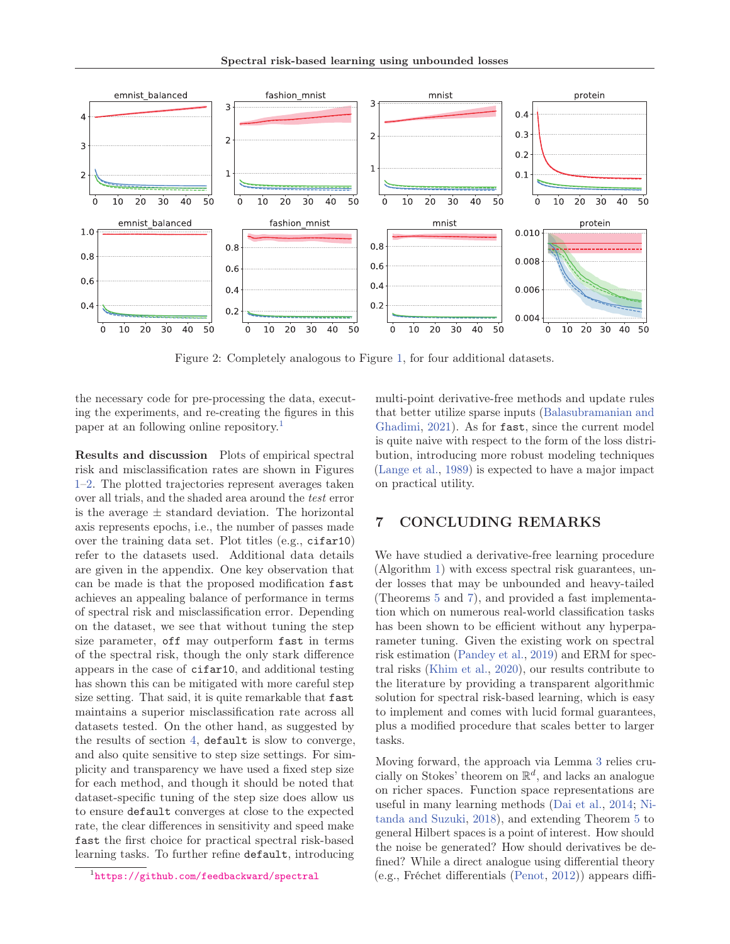

Figure 2: Completely analogous to Figure 1, for four additional datasets.

the necessary code for pre-processing the data, executing the experiments, and re-creating the figures in this paper at an following online repository.<sup>1</sup>

Results and discussion Plots of empirical spectral risk and misclassification rates are shown in Figures 1–2. The plotted trajectories represent averages taken over all trials, and the shaded area around the test error is the average  $\pm$  standard deviation. The horizontal axis represents epochs, i.e., the number of passes made over the training data set. Plot titles (e.g., cifar10) refer to the datasets used. Additional data details are given in the appendix. One key observation that can be made is that the proposed modification fast achieves an appealing balance of performance in terms of spectral risk and misclassification error. Depending on the dataset, we see that without tuning the step size parameter, off may outperform fast in terms of the spectral risk, though the only stark difference appears in the case of cifar10, and additional testing has shown this can be mitigated with more careful step size setting. That said, it is quite remarkable that fast maintains a superior misclassification rate across all datasets tested. On the other hand, as suggested by the results of section 4, default is slow to converge, and also quite sensitive to step size settings. For simplicity and transparency we have used a fixed step size for each method, and though it should be noted that dataset-specific tuning of the step size does allow us to ensure default converges at close to the expected rate, the clear differences in sensitivity and speed make fast the first choice for practical spectral risk-based learning tasks. To further refine default, introducing

multi-point derivative-free methods and update rules that better utilize sparse inputs (Balasubramanian and Ghadimi, 2021). As for fast, since the current model is quite naive with respect to the form of the loss distribution, introducing more robust modeling techniques (Lange et al., 1989) is expected to have a major impact on practical utility.

## 7 CONCLUDING REMARKS

We have studied a derivative-free learning procedure (Algorithm 1) with excess spectral risk guarantees, under losses that may be unbounded and heavy-tailed (Theorems 5 and 7), and provided a fast implementation which on numerous real-world classification tasks has been shown to be efficient without any hyperparameter tuning. Given the existing work on spectral risk estimation (Pandey et al., 2019) and ERM for spectral risks (Khim et al., 2020), our results contribute to the literature by providing a transparent algorithmic solution for spectral risk-based learning, which is easy to implement and comes with lucid formal guarantees, plus a modified procedure that scales better to larger tasks.

Moving forward, the approach via Lemma 3 relies crucially on Stokes' theorem on  $\mathbb{R}^d$ , and lacks an analogue on richer spaces. Function space representations are useful in many learning methods (Dai et al., 2014; Nitanda and Suzuki, 2018), and extending Theorem 5 to general Hilbert spaces is a point of interest. How should the noise be generated? How should derivatives be defined? While a direct analogue using differential theory (e.g., Fréchet differentials (Penot, 2012)) appears diffi-

<sup>1</sup>https://github.com/feedbackward/spectral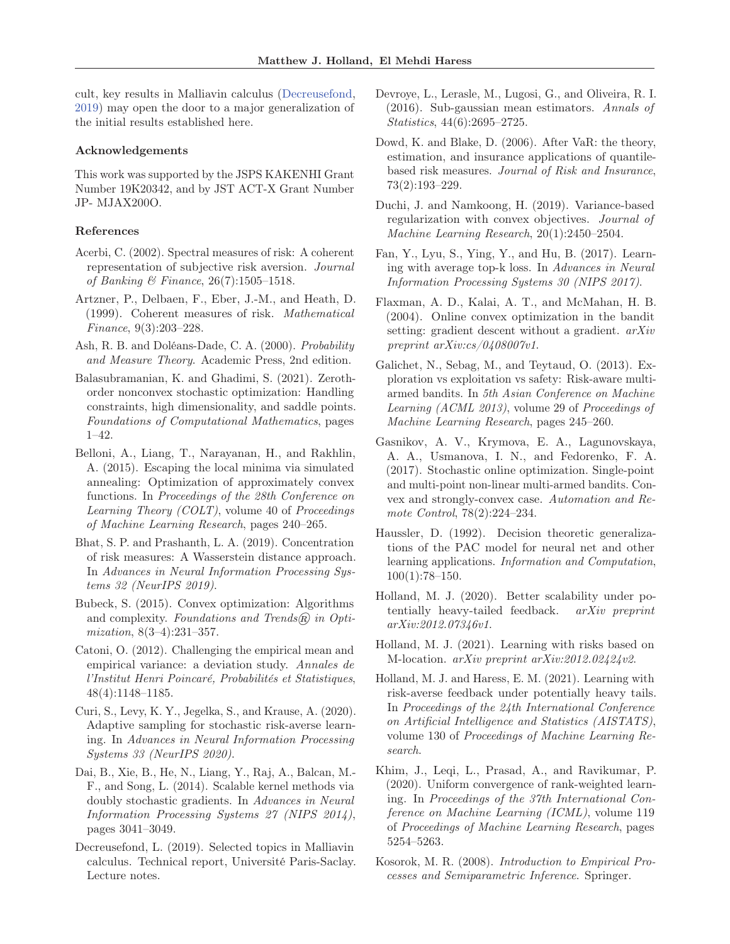cult, key results in Malliavin calculus (Decreusefond, 2019) may open the door to a major generalization of the initial results established here.

### Acknowledgements

This work was supported by the JSPS KAKENHI Grant Number 19K20342, and by JST ACT-X Grant Number JP- MJAX200O.

### References

- Acerbi, C. (2002). Spectral measures of risk: A coherent representation of subjective risk aversion. Journal of Banking & Finance, 26(7):1505–1518.
- Artzner, P., Delbaen, F., Eber, J.-M., and Heath, D. (1999). Coherent measures of risk. Mathematical Finance, 9(3):203–228.
- Ash, R. B. and Doléans-Dade, C. A. (2000). Probability and Measure Theory. Academic Press, 2nd edition.
- Balasubramanian, K. and Ghadimi, S. (2021). Zerothorder nonconvex stochastic optimization: Handling constraints, high dimensionality, and saddle points. Foundations of Computational Mathematics, pages 1–42.
- Belloni, A., Liang, T., Narayanan, H., and Rakhlin, A. (2015). Escaping the local minima via simulated annealing: Optimization of approximately convex functions. In Proceedings of the 28th Conference on Learning Theory (COLT), volume 40 of Proceedings of Machine Learning Research, pages 240–265.
- Bhat, S. P. and Prashanth, L. A. (2019). Concentration of risk measures: A Wasserstein distance approach. In Advances in Neural Information Processing Systems 32 (NeurIPS 2019).
- Bubeck, S. (2015). Convex optimization: Algorithms and complexity. Foundations and Trends $(\widehat{R})$  in Optimization, 8(3–4):231–357.
- Catoni, O. (2012). Challenging the empirical mean and empirical variance: a deviation study. Annales de l'Institut Henri Poincaré, Probabilités et Statistiques, 48(4):1148–1185.
- Curi, S., Levy, K. Y., Jegelka, S., and Krause, A. (2020). Adaptive sampling for stochastic risk-averse learning. In Advances in Neural Information Processing Systems 33 (NeurIPS 2020).
- Dai, B., Xie, B., He, N., Liang, Y., Raj, A., Balcan, M.- F., and Song, L. (2014). Scalable kernel methods via doubly stochastic gradients. In Advances in Neural Information Processing Systems 27 (NIPS 2014), pages 3041–3049.
- Decreusefond, L. (2019). Selected topics in Malliavin calculus. Technical report, Université Paris-Saclay. Lecture notes.
- Devroye, L., Lerasle, M., Lugosi, G., and Oliveira, R. I. (2016). Sub-gaussian mean estimators. Annals of Statistics, 44(6):2695–2725.
- Dowd, K. and Blake, D. (2006). After VaR: the theory, estimation, and insurance applications of quantilebased risk measures. Journal of Risk and Insurance, 73(2):193–229.
- Duchi, J. and Namkoong, H. (2019). Variance-based regularization with convex objectives. Journal of Machine Learning Research, 20(1):2450–2504.
- Fan, Y., Lyu, S., Ying, Y., and Hu, B. (2017). Learning with average top-k loss. In Advances in Neural Information Processing Systems 30 (NIPS 2017).
- Flaxman, A. D., Kalai, A. T., and McMahan, H. B. (2004). Online convex optimization in the bandit setting: gradient descent without a gradient. arXiv preprint arXiv:cs/0408007v1.
- Galichet, N., Sebag, M., and Teytaud, O. (2013). Exploration vs exploitation vs safety: Risk-aware multiarmed bandits. In 5th Asian Conference on Machine Learning (ACML 2013), volume 29 of Proceedings of Machine Learning Research, pages 245–260.
- Gasnikov, A. V., Krymova, E. A., Lagunovskaya, A. A., Usmanova, I. N., and Fedorenko, F. A. (2017). Stochastic online optimization. Single-point and multi-point non-linear multi-armed bandits. Convex and strongly-convex case. Automation and Remote Control, 78(2):224–234.
- Haussler, D. (1992). Decision theoretic generalizations of the PAC model for neural net and other learning applications. Information and Computation, 100(1):78–150.
- Holland, M. J. (2020). Better scalability under potentially heavy-tailed feedback. arXiv preprint arXiv:2012.07346v1.
- Holland, M. J. (2021). Learning with risks based on M-location. arXiv preprint arXiv:2012.02424v2.
- Holland, M. J. and Haress, E. M. (2021). Learning with risk-averse feedback under potentially heavy tails. In Proceedings of the 24th International Conference on Artificial Intelligence and Statistics (AISTATS), volume 130 of Proceedings of Machine Learning Research.
- Khim, J., Leqi, L., Prasad, A., and Ravikumar, P. (2020). Uniform convergence of rank-weighted learning. In Proceedings of the 37th International Conference on Machine Learning (ICML), volume 119 of Proceedings of Machine Learning Research, pages 5254–5263.
- Kosorok, M. R. (2008). Introduction to Empirical Processes and Semiparametric Inference. Springer.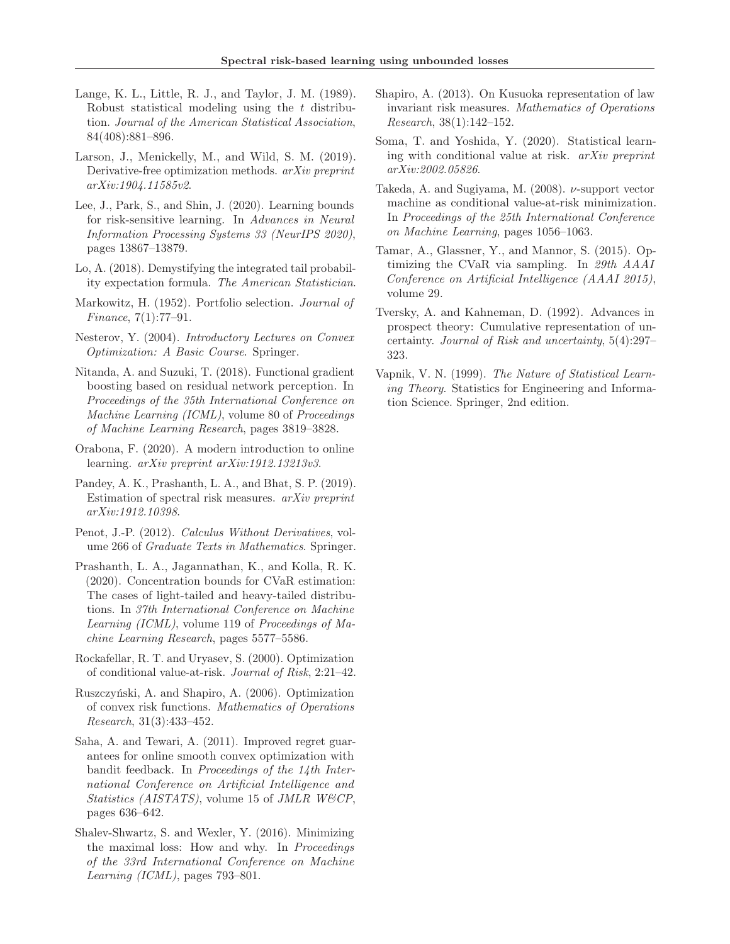- Lange, K. L., Little, R. J., and Taylor, J. M. (1989). Robust statistical modeling using the t distribution. Journal of the American Statistical Association, 84(408):881–896.
- Larson, J., Menickelly, M., and Wild, S. M. (2019). Derivative-free optimization methods. arXiv preprint arXiv:1904.11585v2.
- Lee, J., Park, S., and Shin, J. (2020). Learning bounds for risk-sensitive learning. In Advances in Neural Information Processing Systems 33 (NeurIPS 2020), pages 13867–13879.
- Lo, A. (2018). Demystifying the integrated tail probability expectation formula. The American Statistician.
- Markowitz, H. (1952). Portfolio selection. Journal of Finance, 7(1):77–91.
- Nesterov, Y. (2004). Introductory Lectures on Convex Optimization: A Basic Course. Springer.
- Nitanda, A. and Suzuki, T. (2018). Functional gradient boosting based on residual network perception. In Proceedings of the 35th International Conference on Machine Learning (ICML), volume 80 of Proceedings of Machine Learning Research, pages 3819–3828.
- Orabona, F. (2020). A modern introduction to online learning. arXiv preprint arXiv:1912.13213v3.
- Pandey, A. K., Prashanth, L. A., and Bhat, S. P. (2019). Estimation of spectral risk measures. arXiv preprint arXiv:1912.10398.
- Penot, J.-P. (2012). Calculus Without Derivatives, volume 266 of Graduate Texts in Mathematics. Springer.
- Prashanth, L. A., Jagannathan, K., and Kolla, R. K. (2020). Concentration bounds for CVaR estimation: The cases of light-tailed and heavy-tailed distributions. In 37th International Conference on Machine Learning (ICML), volume 119 of Proceedings of Machine Learning Research, pages 5577–5586.
- Rockafellar, R. T. and Uryasev, S. (2000). Optimization of conditional value-at-risk. Journal of Risk, 2:21–42.
- Ruszczyński, A. and Shapiro, A. (2006). Optimization of convex risk functions. Mathematics of Operations Research, 31(3):433–452.
- Saha, A. and Tewari, A. (2011). Improved regret guarantees for online smooth convex optimization with bandit feedback. In Proceedings of the 14th International Conference on Artificial Intelligence and Statistics (AISTATS), volume 15 of JMLR W&CP, pages 636–642.
- Shalev-Shwartz, S. and Wexler, Y. (2016). Minimizing the maximal loss: How and why. In Proceedings of the 33rd International Conference on Machine Learning (ICML), pages 793–801.
- Shapiro, A. (2013). On Kusuoka representation of law invariant risk measures. Mathematics of Operations Research, 38(1):142–152.
- Soma, T. and Yoshida, Y. (2020). Statistical learning with conditional value at risk. arXiv preprint arXiv:2002.05826.
- Takeda, A. and Sugiyama, M. (2008). ν-support vector machine as conditional value-at-risk minimization. In Proceedings of the 25th International Conference on Machine Learning, pages 1056–1063.
- Tamar, A., Glassner, Y., and Mannor, S. (2015). Optimizing the CVaR via sampling. In 29th AAAI Conference on Artificial Intelligence (AAAI 2015), volume 29.
- Tversky, A. and Kahneman, D. (1992). Advances in prospect theory: Cumulative representation of uncertainty. Journal of Risk and uncertainty, 5(4):297– 323.
- Vapnik, V. N. (1999). The Nature of Statistical Learning Theory. Statistics for Engineering and Information Science. Springer, 2nd edition.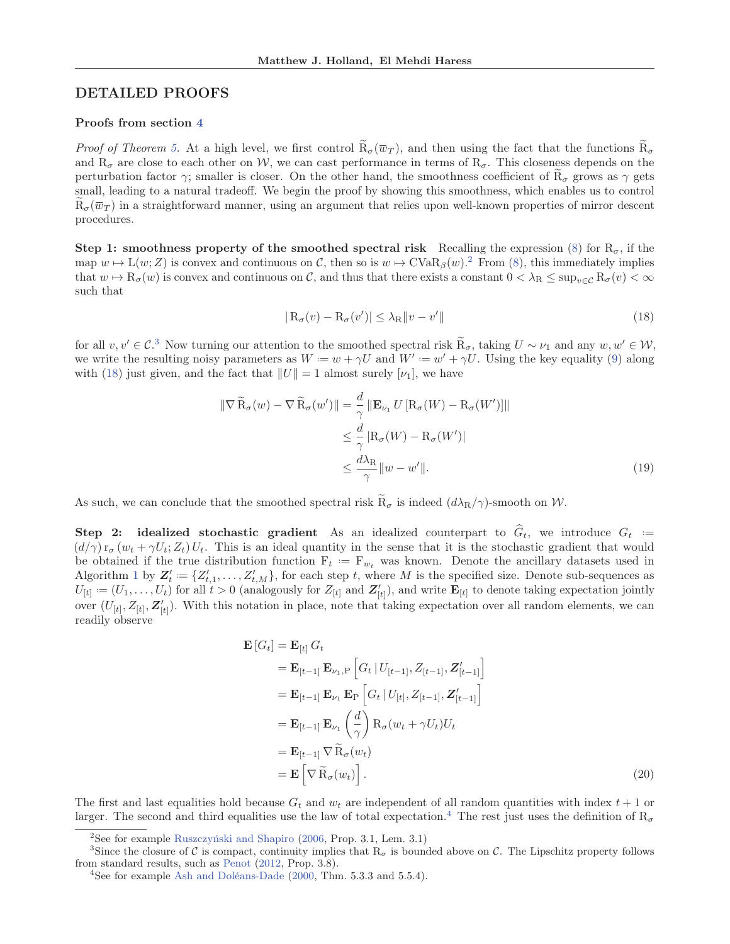## DETAILED PROOFS

### Proofs from section 4

*Proof of Theorem 5.* At a high level, we first control  $\tilde{R}_{\sigma}(\overline{w}_T)$ , and then using the fact that the functions  $\tilde{R}_{\sigma}$ and  $R_{\sigma}$  are close to each other on W, we can cast performance in terms of  $R_{\sigma}$ . This closeness depends on the perturbation factor  $\gamma$ ; smaller is closer. On the other hand, the smoothness coefficient of  $R_{\sigma}$  grows as  $\gamma$  gets small, leading to a natural tradeoff. We begin the proof by showing this smoothness, which enables us to control  $R_{\sigma}(\overline{w}_{T})$  in a straightforward manner, using an argument that relies upon well-known properties of mirror descent procedures.

Step 1: smoothness property of the smoothed spectral risk Recalling the expression (8) for  $R_{\sigma}$ , if the map  $w \mapsto L(w; Z)$  is convex and continuous on C, then so is  $w \mapsto CVaR_\beta(w)$ . From (8), this immediately implies that  $w \mapsto \mathrm{R}_{\sigma}(w)$  is convex and continuous on C, and thus that there exists a constant  $0 < \lambda_{\mathrm{R}} \leq \sup_{v \in \mathcal{C}} \mathrm{R}_{\sigma}(v) < \infty$ such that

$$
|R_{\sigma}(v) - R_{\sigma}(v')| \leq \lambda_R ||v - v'|| \tag{18}
$$

for all  $v, v' \in C^3$ . Now turning our attention to the smoothed spectral risk  $\widetilde{R}_{\sigma}$ , taking  $U \sim \nu_1$  and any  $w, w' \in W$ , we write the resulting noisy parameters as  $W = w + \gamma U$  and  $W' = w' + \gamma U$ . Using the key equality (9) along with (18) just given, and the fact that  $||U|| = 1$  almost surely  $[\nu_1]$ , we have

$$
\|\nabla \widetilde{\mathbf{R}}_{\sigma}(w) - \nabla \widetilde{\mathbf{R}}_{\sigma}(w')\| = \frac{d}{\gamma} \|\mathbf{E}_{\nu_1} U[\mathbf{R}_{\sigma}(W) - \mathbf{R}_{\sigma}(W')] \| \n\leq \frac{d}{\gamma} |\mathbf{R}_{\sigma}(W) - \mathbf{R}_{\sigma}(W')| \n\leq \frac{d\lambda_{\mathbf{R}}}{\gamma} \|w - w'\|.
$$
\n(19)

As such, we can conclude that the smoothed spectral risk  $\widetilde{R}_{\sigma}$  is indeed  $(d\lambda_R/\gamma)$ -smooth on W.

Step 2: idealized stochastic gradient As an idealized counterpart to  $\hat{G}_t$ , we introduce  $G_t :=$  $(d/\gamma) r_{\sigma} (w_t + \gamma U_t; Z_t) U_t$ . This is an ideal quantity in the sense that it is the stochastic gradient that would be obtained if the true distribution function  $F_t := F_{w_t}$  was known. Denote the ancillary datasets used in Algorithm 1 by  $Z'_t := \{Z'_{t,1}, \ldots, Z'_{t,M}\}$ , for each step t, where M is the specified size. Denote sub-sequences as  $U_{[t]} := (U_1, \ldots, U_t)$  for all  $t > 0$  (analogously for  $Z_{[t]}$  and  $Z'_{[t]}$ ), and write  $\mathbf{E}_{[t]}$  to denote taking expectation jointly over  $(U_{[t]}, Z_{[t]}, \mathbf{Z}_{[t]})$ . With this notation in place, note that taking expectation over all random elements, we can readily observe

$$
\mathbf{E}\left[G_{t}\right] = \mathbf{E}_{\left[t\right]} G_{t}
$$
\n
$$
= \mathbf{E}_{\left[t-1\right]} \mathbf{E}_{\nu_{1},P} \left[G_{t} \mid U_{\left[t-1\right]}, Z_{\left[t-1\right]}, Z'_{\left[t-1\right]} \right]
$$
\n
$$
= \mathbf{E}_{\left[t-1\right]} \mathbf{E}_{\nu_{1}} \mathbf{E}_{P} \left[G_{t} \mid U_{\left[t\right]}, Z_{\left[t-1\right]}, Z'_{\left[t-1\right]} \right]
$$
\n
$$
= \mathbf{E}_{\left[t-1\right]} \mathbf{E}_{\nu_{1}} \left(\frac{d}{\gamma}\right) \mathbf{R}_{\sigma} (w_{t} + \gamma U_{t}) U_{t}
$$
\n
$$
= \mathbf{E}_{\left[t-1\right]} \nabla \widetilde{\mathbf{R}}_{\sigma} (w_{t})
$$
\n
$$
= \mathbf{E} \left[ \nabla \widetilde{\mathbf{R}}_{\sigma} (w_{t}) \right]. \tag{20}
$$

The first and last equalities hold because  $G_t$  and  $w_t$  are independent of all random quantities with index  $t + 1$  or larger. The second and third equalities use the law of total expectation.<sup>4</sup> The rest just uses the definition of  $R_{\sigma}$ 

<sup>2</sup>See for example Ruszczyński and Shapiro (2006, Prop. 3.1, Lem. 3.1)

<sup>&</sup>lt;sup>3</sup>Since the closure of C is compact, continuity implies that  $R_{\sigma}$  is bounded above on C. The Lipschitz property follows from standard results, such as Penot (2012, Prop. 3.8).

<sup>&</sup>lt;sup>4</sup>See for example Ash and Doléans-Dade (2000, Thm. 5.3.3 and 5.5.4).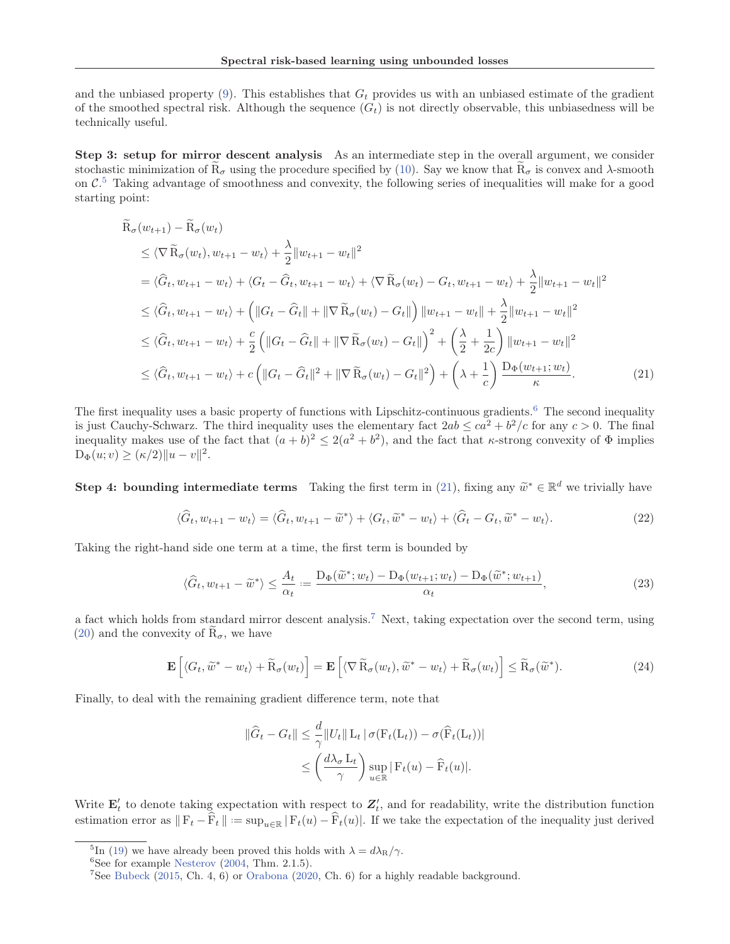and the unbiased property  $(9)$ . This establishes that  $G_t$  provides us with an unbiased estimate of the gradient of the smoothed spectral risk. Although the sequence  $(G_t)$  is not directly observable, this unbiasedness will be technically useful.

Step 3: setup for mirror descent analysis As an intermediate step in the overall argument, we consider stochastic minimization of  $\overline{R}_{\sigma}$  using the procedure specified by (10). Say we know that  $\overline{R}_{\sigma}$  is convex and  $\lambda$ -smooth on  $\mathcal{C}$ <sup>5</sup>. Taking advantage of smoothness and convexity, the following series of inequalities will make for a good starting point:

$$
\tilde{R}_{\sigma}(w_{t+1}) - \tilde{R}_{\sigma}(w_{t}) \n\leq \langle \nabla \tilde{R}_{\sigma}(w_{t}), w_{t+1} - w_{t} \rangle + \frac{\lambda}{2} ||w_{t+1} - w_{t}||^{2} \n= \langle \hat{G}_{t}, w_{t+1} - w_{t} \rangle + \langle G_{t} - \hat{G}_{t}, w_{t+1} - w_{t} \rangle + \langle \nabla \tilde{R}_{\sigma}(w_{t}) - G_{t}, w_{t+1} - w_{t} \rangle + \frac{\lambda}{2} ||w_{t+1} - w_{t}||^{2} \n\leq \langle \hat{G}_{t}, w_{t+1} - w_{t} \rangle + (||G_{t} - \hat{G}_{t}|| + ||\nabla \tilde{R}_{\sigma}(w_{t}) - G_{t}||) ||w_{t+1} - w_{t}|| + \frac{\lambda}{2} ||w_{t+1} - w_{t}||^{2} \n\leq \langle \hat{G}_{t}, w_{t+1} - w_{t} \rangle + \frac{c}{2} (||G_{t} - \hat{G}_{t}|| + ||\nabla \tilde{R}_{\sigma}(w_{t}) - G_{t}||)^{2} + (\frac{\lambda}{2} + \frac{1}{2c}) ||w_{t+1} - w_{t}||^{2} \n\leq \langle \hat{G}_{t}, w_{t+1} - w_{t} \rangle + c (||G_{t} - \hat{G}_{t}||^{2} + ||\nabla \tilde{R}_{\sigma}(w_{t}) - G_{t}||^{2}) + (\lambda + \frac{1}{c}) \frac{D_{\Phi}(w_{t+1}; w_{t})}{\kappa}.
$$
\n(21)

The first inequality uses a basic property of functions with Lipschitz-continuous gradients.<sup>6</sup> The second inequality is just Cauchy-Schwarz. The third inequality uses the elementary fact  $2ab \leq ca^2 + b^2/c$  for any  $c > 0$ . The final inequality makes use of the fact that  $(a + b)^2 \leq 2(a^2 + b^2)$ , and the fact that *κ*-strong convexity of  $\Phi$  implies  $D_{\Phi}(u; v) \geq (\kappa/2) ||u - v||^2.$ 

Step 4: bounding intermediate terms Taking the first term in (21), fixing any  $\tilde{w}^* \in \mathbb{R}^d$  we trivially have

$$
\langle \widehat{G}_t, w_{t+1} - w_t \rangle = \langle \widehat{G}_t, w_{t+1} - \widetilde{w}^* \rangle + \langle G_t, \widetilde{w}^* - w_t \rangle + \langle \widehat{G}_t - G_t, \widetilde{w}^* - w_t \rangle. \tag{22}
$$

Taking the right-hand side one term at a time, the first term is bounded by

$$
\langle \hat{G}_t, w_{t+1} - \tilde{w}^* \rangle \le \frac{A_t}{\alpha_t} := \frac{\mathcal{D}_{\Phi}(\tilde{w}^*; w_t) - \mathcal{D}_{\Phi}(w_{t+1}; w_t) - \mathcal{D}_{\Phi}(\tilde{w}^*; w_{t+1})}{\alpha_t},\tag{23}
$$

a fact which holds from standard mirror descent analysis.<sup>7</sup> Next, taking expectation over the second term, using (20) and the convexity of  $R_{\sigma}$ , we have

$$
\mathbf{E}\left[\langle G_t, \widetilde{w}^* - w_t \rangle + \widetilde{R}_{\sigma}(w_t)\right] = \mathbf{E}\left[\langle \nabla \widetilde{R}_{\sigma}(w_t), \widetilde{w}^* - w_t \rangle + \widetilde{R}_{\sigma}(w_t)\right] \leq \widetilde{R}_{\sigma}(\widetilde{w}^*).
$$
\n(24)

Finally, to deal with the remaining gradient difference term, note that

$$
\|\widehat{G}_t - G_t\| \leq \frac{d}{\gamma} \|U_t\| \mathcal{L}_t |\sigma(\mathcal{F}_t(\mathcal{L}_t)) - \sigma(\widehat{\mathcal{F}}_t(\mathcal{L}_t))|
$$
  

$$
\leq \left(\frac{d\lambda_\sigma \mathcal{L}_t}{\gamma}\right) \sup_{u \in \mathbb{R}} |\mathcal{F}_t(u) - \widehat{\mathcal{F}}_t(u)|.
$$

Write  $\mathbf{E}'_t$  to denote taking expectation with respect to  $Z'_t$ , and for readability, write the distribution function estimation error as  $\|\mathbf{F}_t - \widehat{\mathbf{F}}_t\| := \sup_{u \in \mathbb{R}} |\mathbf{F}_t(u) - \widehat{\mathbf{F}}_t(u)|$ . If we take the expectation of the inequality just derived

<sup>&</sup>lt;sup>5</sup>In (19) we have already been proved this holds with  $\lambda = d\lambda_{\rm R}/\gamma$ .<br><sup>6</sup>See for example Nesterov (2004, Thm. 2.1.5).

<sup>&</sup>lt;sup>7</sup>See Bubeck (2015, Ch. 4, 6) or Orabona (2020, Ch. 6) for a highly readable background.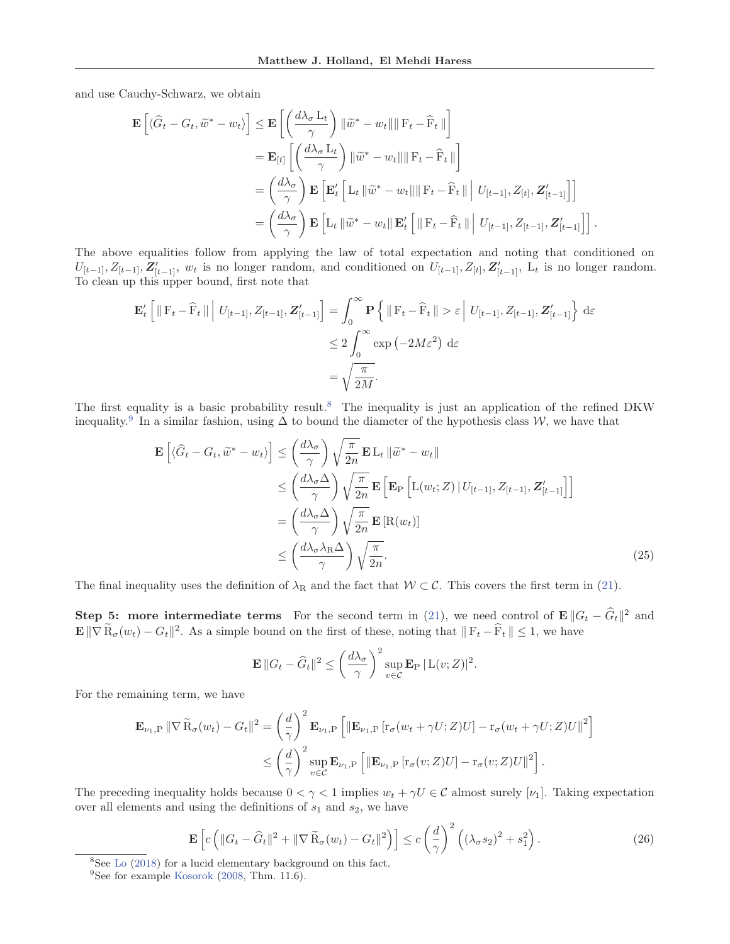and use Cauchy-Schwarz, we obtain

$$
\mathbf{E}\left[\langle \widehat{G}_t - G_t, \widetilde{w}^* - w_t \rangle\right] \leq \mathbf{E}\left[\left(\frac{d\lambda_{\sigma} L_t}{\gamma}\right) \|\widetilde{w}^* - w_t\| \|\mathbf{F}_t - \widehat{\mathbf{F}}_t\|\right] \n= \mathbf{E}_{[t]}\left[\left(\frac{d\lambda_{\sigma} L_t}{\gamma}\right) \|\widetilde{w}^* - w_t\| \|\mathbf{F}_t - \widehat{\mathbf{F}}_t\|\right] \n= \left(\frac{d\lambda_{\sigma}}{\gamma}\right) \mathbf{E}\left[\mathbf{E}'_t\left[L_t \|\widetilde{w}^* - w_t\| \|\mathbf{F}_t - \widehat{\mathbf{F}}_t\| \|\mathbf{U}_{[t-1]}, Z_{[t]}, \mathbf{Z}'_{[t-1]}\right]\right] \n= \left(\frac{d\lambda_{\sigma}}{\gamma}\right) \mathbf{E}\left[L_t \|\widetilde{w}^* - w_t\| \mathbf{E}'_t\left[\|\mathbf{F}_t - \widehat{\mathbf{F}}_t\| \|\mathbf{U}_{[t-1]}, Z_{[t-1]}, \mathbf{Z}'_{[t-1]}\right]\right].
$$

The above equalities follow from applying the law of total expectation and noting that conditioned on  $U_{[t-1]}, Z_{[t-1]}, Z'_{[t-1]}, w_t$  is no longer random, and conditioned on  $U_{[t-1]}, Z_{[t]}, Z'_{[t-1]}, L_t$  is no longer random. To clean up this upper bound, first note that

$$
\mathbf{E}'_t \left[ \|\mathbf{F}_t - \widehat{\mathbf{F}}_t\| \middle| U_{[t-1]}, Z_{[t-1]}, \mathbf{Z}'_{[t-1]} \right] = \int_0^\infty \mathbf{P} \left\{ \|\mathbf{F}_t - \widehat{\mathbf{F}}_t\| > \varepsilon \middle| U_{[t-1]}, Z_{[t-1]}, \mathbf{Z}'_{[t-1]} \right\} d\varepsilon
$$
  

$$
\leq 2 \int_0^\infty \exp(-2M\varepsilon^2) d\varepsilon
$$
  

$$
= \sqrt{\frac{\pi}{2M}}.
$$

The first equality is a basic probability result.<sup>8</sup> The inequality is just an application of the refined DKW inequality.<sup>9</sup> In a similar fashion, using  $\Delta$  to bound the diameter of the hypothesis class W, we have that

$$
\mathbf{E}\left[\langle \widehat{G}_t - G_t, \widetilde{w}^* - w_t \rangle\right] \leq \left(\frac{d\lambda_{\sigma}}{\gamma}\right) \sqrt{\frac{\pi}{2n}} \mathbf{E} L_t \|\widetilde{w}^* - w_t\|
$$
\n
$$
\leq \left(\frac{d\lambda_{\sigma}\Delta}{\gamma}\right) \sqrt{\frac{\pi}{2n}} \mathbf{E}\left[\mathbf{E}_{\text{P}}\left[L(w_t; Z) \mid U_{[t-1]}, Z_{[t-1]}, Z'_{[t-1]}\right]\right]
$$
\n
$$
= \left(\frac{d\lambda_{\sigma}\Delta}{\gamma}\right) \sqrt{\frac{\pi}{2n}} \mathbf{E}\left[\mathbf{R}(w_t)\right]
$$
\n
$$
\leq \left(\frac{d\lambda_{\sigma}\lambda_{\text{R}}\Delta}{\gamma}\right) \sqrt{\frac{\pi}{2n}}.
$$
\n(25)

The final inequality uses the definition of  $\lambda_R$  and the fact that  $W \subset \mathcal{C}$ . This covers the first term in (21).

**Step 5: more intermediate terms** For the second term in (21), we need control of  $\mathbf{E} ||G_t - \hat{G}_t||^2$  and  $\mathbf{E} \|\nabla \widetilde{\mathbf{R}}_{\sigma}(w_t) - G_t\|^2$ . As a simple bound on the first of these, noting that  $\|\mathbf{F}_t - \widehat{\mathbf{F}}_t\| \leq 1$ , we have

$$
\mathbf{E} ||G_t - \widehat{G}_t||^2 \le \left(\frac{d\lambda_\sigma}{\gamma}\right)^2 \sup_{v \in \mathcal{C}} \mathbf{E}_{\mathrm{P}} ||L(v; Z)||^2.
$$

For the remaining term, we have

$$
\mathbf{E}_{\nu_1,\mathrm{P}} \|\nabla \widetilde{\mathrm{R}}_{\sigma}(w_t) - G_t\|^2 = \left(\frac{d}{\gamma}\right)^2 \mathbf{E}_{\nu_1,\mathrm{P}} \left[\|\mathbf{E}_{\nu_1,\mathrm{P}} \left[r_{\sigma}(w_t + \gamma U; Z)U\right] - r_{\sigma}(w_t + \gamma U; Z)U\|^2\right] \leq \left(\frac{d}{\gamma}\right)^2 \sup_{v \in \mathcal{C}} \mathbf{E}_{\nu_1,\mathrm{P}} \left[\|\mathbf{E}_{\nu_1,\mathrm{P}} \left[r_{\sigma}(v; Z)U\right] - r_{\sigma}(v; Z)U\|^2\right].
$$

The preceding inequality holds because  $0 < \gamma < 1$  implies  $w_t + \gamma U \in \mathcal{C}$  almost surely [ $\nu_1$ ]. Taking expectation over all elements and using the definitions of  $s_1$  and  $s_2$ , we have

$$
\mathbf{E}\left[c\left(\|G_t - \widehat{G}_t\|^2 + \|\nabla \widetilde{R}_{\sigma}(w_t) - G_t\|^2\right)\right] \le c\left(\frac{d}{\gamma}\right)^2 \left((\lambda_{\sigma} s_2)^2 + s_1^2\right). \tag{26}
$$

 $8$ See Lo (2018) for a lucid elementary background on this fact.

 $9$ See for example Kosorok (2008, Thm. 11.6).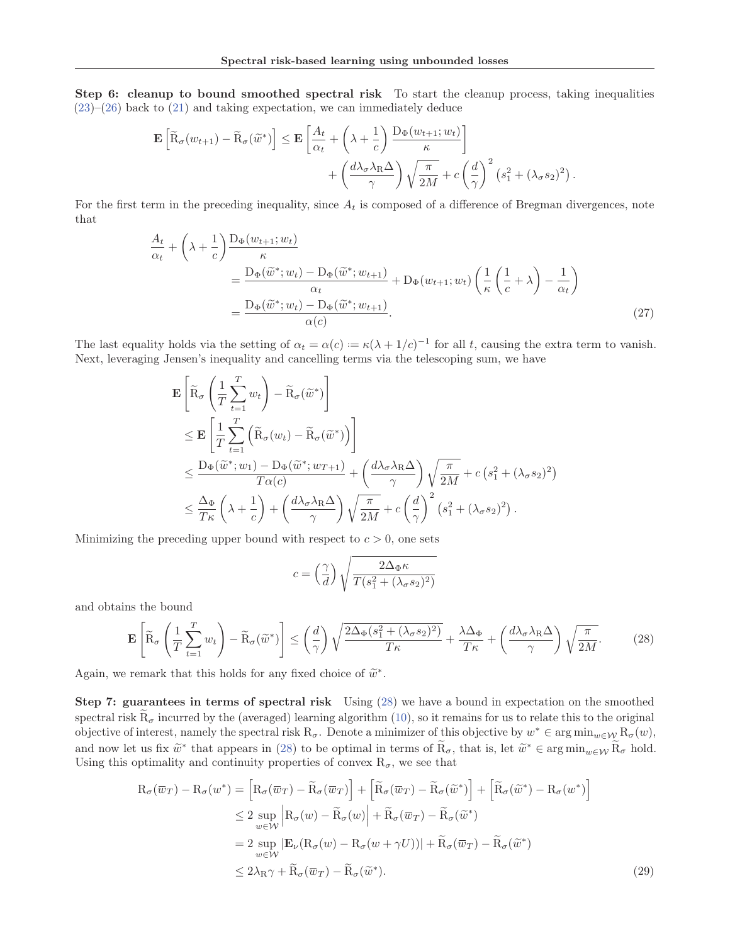Step 6: cleanup to bound smoothed spectral risk To start the cleanup process, taking inequalities  $(23)$ – $(26)$  back to  $(21)$  and taking expectation, we can immediately deduce

$$
\mathbf{E}\left[\widetilde{\mathbf{R}}_{\sigma}(w_{t+1}) - \widetilde{\mathbf{R}}_{\sigma}(\widetilde{w}^*)\right] \leq \mathbf{E}\left[\frac{A_t}{\alpha_t} + \left(\lambda + \frac{1}{c}\right) \frac{\mathbf{D}_{\Phi}(w_{t+1}; w_t)}{\kappa}\right] + \left(\frac{d\lambda_{\sigma} \lambda_{\mathbf{R}} \Delta}{\gamma}\right) \sqrt{\frac{\pi}{2M}} + c\left(\frac{d}{\gamma}\right)^2 \left(s_1^2 + (\lambda_{\sigma} s_2)^2\right).
$$

For the first term in the preceding inequality, since  $A_t$  is composed of a difference of Bregman divergences, note that

$$
\frac{A_t}{\alpha_t} + \left(\lambda + \frac{1}{c}\right) \frac{D_{\Phi}(w_{t+1}; w_t)}{\kappa} \n= \frac{D_{\Phi}(\widetilde{w}^*; w_t) - D_{\Phi}(\widetilde{w}^*; w_{t+1})}{\alpha_t} + D_{\Phi}(w_{t+1}; w_t) \left(\frac{1}{\kappa}\left(\frac{1}{c} + \lambda\right) - \frac{1}{\alpha_t}\right) \n= \frac{D_{\Phi}(\widetilde{w}^*; w_t) - D_{\Phi}(\widetilde{w}^*; w_{t+1})}{\alpha(c)}.
$$
\n(27)

The last equality holds via the setting of  $\alpha_t = \alpha(c) := \kappa(\lambda + 1/c)^{-1}$  for all t, causing the extra term to vanish. Next, leveraging Jensen's inequality and cancelling terms via the telescoping sum, we have

$$
\mathbf{E}\left[\widetilde{\mathbf{R}}_{\sigma}\left(\frac{1}{T}\sum_{t=1}^{T}w_{t}\right)-\widetilde{\mathbf{R}}_{\sigma}(\widetilde{w}^{*})\right] \n\leq \mathbf{E}\left[\frac{1}{T}\sum_{t=1}^{T}\left(\widetilde{\mathbf{R}}_{\sigma}(w_{t})-\widetilde{\mathbf{R}}_{\sigma}(\widetilde{w}^{*})\right)\right] \n\leq \frac{\mathbf{D}_{\Phi}(\widetilde{w}^{*};w_{1})-\mathbf{D}_{\Phi}(\widetilde{w}^{*};w_{T+1})}{T\alpha(c)}+\left(\frac{d\lambda_{\sigma}\lambda_{\mathbf{R}}\Delta}{\gamma}\right)\sqrt{\frac{\pi}{2M}}+c\left(s_{1}^{2}+(\lambda_{\sigma}s_{2})^{2}\right) \n\leq \frac{\Delta_{\Phi}}{T\kappa}\left(\lambda+\frac{1}{c}\right)+\left(\frac{d\lambda_{\sigma}\lambda_{\mathbf{R}}\Delta}{\gamma}\right)\sqrt{\frac{\pi}{2M}}+c\left(\frac{d}{\gamma}\right)^{2}\left(s_{1}^{2}+(\lambda_{\sigma}s_{2})^{2}\right).
$$

Minimizing the preceding upper bound with respect to  $c > 0$ , one sets

$$
c = \left(\frac{\gamma}{d}\right) \sqrt{\frac{2\Delta_{\Phi}\kappa}{T(s_1^2 + (\lambda_{\sigma}s_2)^2)}}
$$

and obtains the bound

$$
\mathbf{E}\left[\widetilde{\mathbf{R}}_{\sigma}\left(\frac{1}{T}\sum_{t=1}^{T}w_{t}\right)-\widetilde{\mathbf{R}}_{\sigma}(\widetilde{w}^{*})\right] \leq \left(\frac{d}{\gamma}\right)\sqrt{\frac{2\Delta_{\Phi}(s_{1}^{2}+(\lambda_{\sigma}s_{2})^{2})}{T\kappa}}+\frac{\lambda\Delta_{\Phi}}{T\kappa}+\left(\frac{d\lambda_{\sigma}\lambda_{\mathbf{R}}\Delta}{\gamma}\right)\sqrt{\frac{\pi}{2M}}.\tag{28}
$$

Again, we remark that this holds for any fixed choice of  $\tilde{w}^*$ .

Step 7: guarantees in terms of spectral risk Using (28) we have a bound in expectation on the smoothed spectral risk  $R_{\sigma}$  incurred by the (averaged) learning algorithm (10), so it remains for us to relate this to the original objective of interest, namely the spectral risk  $R_{\sigma}$ . Denote a minimizer of this objective by  $w^* \in \arg\min_{w \in \mathcal{W}} R_{\sigma}(w)$ , and now let us fix  $\widetilde{w}^*$  that appears in (28) to be optimal in terms of  $\widetilde{R}_{\sigma}$ , that is, let  $\widetilde{w}^* \in \arg\min_{w \in \mathcal{W}} \widetilde{R}_{\sigma}$  hold. Using this optimality and continuity properties of convex  $R_{\sigma}$ , we see that

$$
R_{\sigma}(\overline{w}_{T}) - R_{\sigma}(w^{*}) = \left[R_{\sigma}(\overline{w}_{T}) - \widetilde{R}_{\sigma}(\overline{w}_{T})\right] + \left[\widetilde{R}_{\sigma}(\overline{w}_{T}) - \widetilde{R}_{\sigma}(\widetilde{w}^{*})\right] + \left[\widetilde{R}_{\sigma}(\widetilde{w}^{*}) - R_{\sigma}(w^{*})\right]
$$
  
\n
$$
\leq 2 \sup_{w \in W} \left|R_{\sigma}(w) - \widetilde{R}_{\sigma}(w)\right| + \widetilde{R}_{\sigma}(\overline{w}_{T}) - \widetilde{R}_{\sigma}(\widetilde{w}^{*})
$$
  
\n
$$
= 2 \sup_{w \in W} |\mathbf{E}_{\nu}(R_{\sigma}(w) - R_{\sigma}(w + \gamma U))| + \widetilde{R}_{\sigma}(\overline{w}_{T}) - \widetilde{R}_{\sigma}(\widetilde{w}^{*})
$$
  
\n
$$
\leq 2\lambda_{R}\gamma + \widetilde{R}_{\sigma}(\overline{w}_{T}) - \widetilde{R}_{\sigma}(\widetilde{w}^{*}).
$$
\n(29)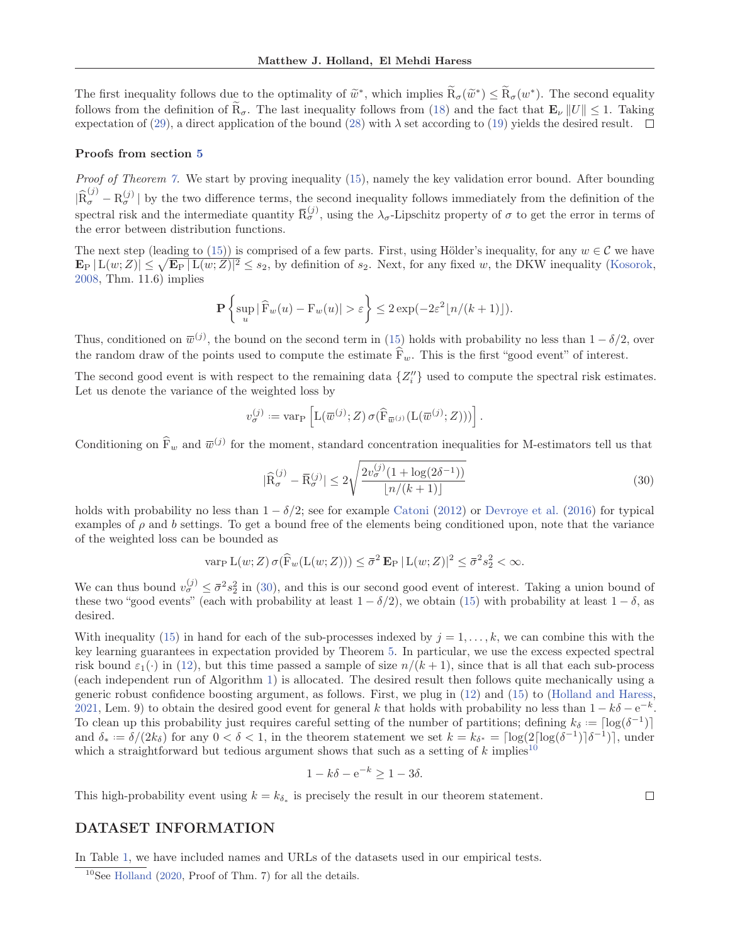The first inequality follows due to the optimality of  $\tilde{w}^*$ , which implies  $\tilde{R}_{\sigma}(\tilde{w}^*) \leq \tilde{R}_{\sigma}(w^*)$ . The second equality follows from the definition of  $\mathbf{R}_{\sigma}$ . The last inequality follows from (18) and the fact that  $\mathbf{E}_{\nu} ||U|| \leq 1$ . Taking expectation of (29), a direct application of the bound (28) with  $\lambda$  set according to (19) yields the desired result.  $\Box$ 

#### Proofs from section 5

Proof of Theorem 7. We start by proving inequality (15), namely the key validation error bound. After bounding  $|\hat{R}_{\sigma}^{(j)} - R_{\sigma}^{(j)}|$  by the two difference terms, the second inequality follows immediately from the definition of the spectral risk and the intermediate quantity  $\overline{R}_{\sigma}^{(j)}$ , using the  $\lambda_{\sigma}$ -Lipschitz property of  $\sigma$  to get the error in terms of the error between distribution functions.

The next step (leading to (15)) is comprised of a few parts. First, using Hölder's inequality, for any  $w \in \mathcal{C}$  we have  $\mathbf{E}_{\rm P} |{\rm L}(w;Z)| \leq \sqrt{\mathbf{E}_{\rm P} |{\rm L}(w;Z)|^2} \leq s_2$ , by definition of  $s_2$ . Next, for any fixed w, the DKW inequality (Kosorok, 2008, Thm. 11.6) implies

$$
\mathbf{P}\left\{\sup_{u}|\widehat{F}_{w}(u)-F_{w}(u)|>\varepsilon\right\}\leq 2\exp(-2\varepsilon^{2}\lfloor n/(k+1)\rfloor).
$$

Thus, conditioned on  $\bar{w}^{(j)}$ , the bound on the second term in (15) holds with probability no less than  $1 - \delta/2$ , over the random draw of the points used to compute the estimate  $F_w$ . This is the first "good event" of interest.

The second good event is with respect to the remaining data  $\{Z_i''\}$  used to compute the spectral risk estimates. Let us denote the variance of the weighted loss by

$$
v_{\sigma}^{(j)} := \text{var}_{\mathcal{P}} \left[ L(\overline{w}^{(j)}; Z) \sigma(\widehat{\mathcal{F}}_{\overline{w}^{(j)}}(L(\overline{w}^{(j)}; Z))) \right].
$$

Conditioning on  $\hat{F}_w$  and  $\overline{w}^{(j)}$  for the moment, standard concentration inequalities for M-estimators tell us that

$$
|\widehat{\mathcal{R}}_{\sigma}^{(j)} - \overline{\mathcal{R}}_{\sigma}^{(j)}| \le 2\sqrt{\frac{2v_{\sigma}^{(j)}(1 + \log(2\delta^{-1}))}{\lfloor n/(k+1) \rfloor}} \tag{30}
$$

 $\Box$ 

holds with probability no less than  $1 - \delta/2$ ; see for example Catoni (2012) or Devroye et al. (2016) for typical examples of  $\rho$  and b settings. To get a bound free of the elements being conditioned upon, note that the variance of the weighted loss can be bounded as

$$
\operatorname{var}_{\mathcal{P}} \mathcal{L}(w; Z) \sigma(\widehat{\mathcal{F}}_w(\mathcal{L}(w; Z))) \le \overline{\sigma}^2 \mathbf{E}_{\mathcal{P}} |\mathcal{L}(w; Z)|^2 \le \overline{\sigma}^2 s_2^2 < \infty.
$$

We can thus bound  $v_{\sigma}^{(j)} \leq \bar{\sigma}^2 s_2^2$  in (30), and this is our second good event of interest. Taking a union bound of these two "good events" (each with probability at least  $1 - \delta/2$ ), we obtain (15) with probability at least  $1 - \delta$ , as desired.

With inequality (15) in hand for each of the sub-processes indexed by  $j = 1, \ldots, k$ , we can combine this with the key learning guarantees in expectation provided by Theorem 5. In particular, we use the excess expected spectral risk bound  $\varepsilon_1(\cdot)$  in (12), but this time passed a sample of size  $n/(k+1)$ , since that is all that each sub-process (each independent run of Algorithm 1) is allocated. The desired result then follows quite mechanically using a generic robust confidence boosting argument, as follows. First, we plug in (12) and (15) to (Holland and Haress, 2021, Lem. 9) to obtain the desired good event for general k that holds with probability no less than  $1 - k\delta - e^{-k}$ . To clean up this probability just requires careful setting of the number of partitions; defining  $k_{\delta} = \lfloor \log(\delta^{-1}) \rfloor$ and  $\delta_* := \delta/(2k_\delta)$  for any  $0 < \delta < 1$ , in the theorem statement we set  $k = k_{\delta^*} = \lceil \log(2 \lceil \log(\delta^{-1}) \rceil \delta^{-1}) \rceil$ , under which a straightforward but tedious argument shows that such as a setting of k implies<sup>10</sup>

$$
1 - k\delta - e^{-k} \ge 1 - 3\delta.
$$

This high-probability event using  $k = k_{\delta_*}$  is precisely the result in our theorem statement.

# DATASET INFORMATION

In Table 1, we have included names and URLs of the datasets used in our empirical tests.

 $10$ See Holland (2020, Proof of Thm. 7) for all the details.